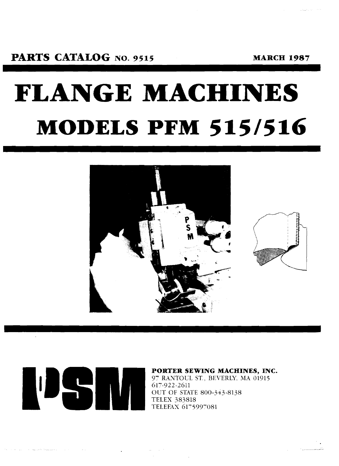Laurence

# **FLANGE MACHINES MODELS PFM 515/516**





### PORTER SEWING MACHINES, INC.

97 RANTOUL ST., BEVERLY, MA 01915 617-922-2611 **OUT OF STATE 800-343-8138 TELEX 383818** TELEFAX 6175997081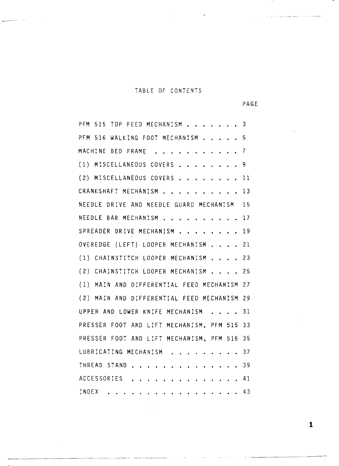## TABLE OF CONTENTS

سخط مناجرا بالرازع والصيف أنسهى ويسوئون

| PFM 515 TOP FEED MECHANISM                  |                                      |  |  |  |  |  |  |  |  |  |             |                         |  | 3              |
|---------------------------------------------|--------------------------------------|--|--|--|--|--|--|--|--|--|-------------|-------------------------|--|----------------|
| PFM 516 WALKING FOOT MECHANISM              |                                      |  |  |  |  |  |  |  |  |  |             |                         |  | 5              |
| MACHINE BED FRAME                           |                                      |  |  |  |  |  |  |  |  |  |             |                         |  | $\overline{7}$ |
| (1) MISCELLANEOUS COVERS 9                  |                                      |  |  |  |  |  |  |  |  |  |             |                         |  |                |
| (2) MISCELLANEOUS COVERS                    |                                      |  |  |  |  |  |  |  |  |  |             |                         |  | 11             |
| CRANKSHAFT MECHANISM 13                     |                                      |  |  |  |  |  |  |  |  |  |             |                         |  |                |
| NEEDLE DRIVE AND NEEDLE GUARD MECHANISM     |                                      |  |  |  |  |  |  |  |  |  |             |                         |  | 15             |
| NEEDLE BAR MECHANISM 17                     |                                      |  |  |  |  |  |  |  |  |  |             |                         |  |                |
| SPREADER DRIVE MECHANISM 19                 |                                      |  |  |  |  |  |  |  |  |  |             |                         |  |                |
| OVEREDGE                                    |                                      |  |  |  |  |  |  |  |  |  |             | (LEFT) LOOPER MECHANISM |  | 21             |
| (1) CHAINSTITCH LOOPER MECHANISM            |                                      |  |  |  |  |  |  |  |  |  |             |                         |  | 23             |
| (2) CHAINSTITCH LOOPER MECHANISM            |                                      |  |  |  |  |  |  |  |  |  |             |                         |  | 25             |
| (1) MAIN AND DIFFERENTIAL FEED MECHANISM 27 |                                      |  |  |  |  |  |  |  |  |  |             |                         |  |                |
| (2)                                         | MAIN AND DIFFERENTIAL FEED MECHANISM |  |  |  |  |  |  |  |  |  |             |                         |  | 29             |
| UPPER AND LOWER KNIFE MECHANISM             |                                      |  |  |  |  |  |  |  |  |  |             |                         |  | 31             |
| PRESSER FOOT AND LIFT MECHANISM, PFM 515 33 |                                      |  |  |  |  |  |  |  |  |  |             |                         |  |                |
| PRESSER FOOT AND LIFT MECHANISM, PFM 516    |                                      |  |  |  |  |  |  |  |  |  |             |                         |  | 35             |
| LUBRICATING MECHANISM                       |                                      |  |  |  |  |  |  |  |  |  |             |                         |  | 37             |
| THREAD STAND                                |                                      |  |  |  |  |  |  |  |  |  |             |                         |  | 39             |
| ACCESSORIES                                 |                                      |  |  |  |  |  |  |  |  |  |             | .                       |  | 41             |
| INDEX                                       |                                      |  |  |  |  |  |  |  |  |  | $\bullet$ . |                         |  | 43             |

 $\mathcal{L}$ 

 $\mathbf{1}$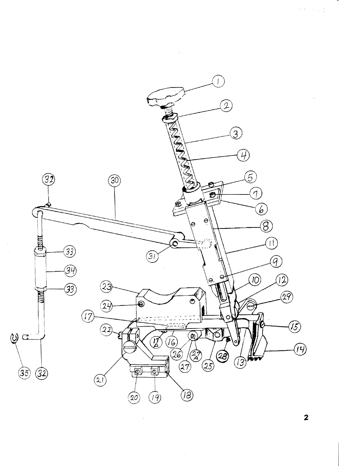

 $\sim$ 

 $\overline{\mathbf{2}}$ 

 $\label{eq:1} \begin{split} \mathcal{L}_{\text{c}}(\theta) = \mathcal{L}_{\text{c}}(\theta) \left[ \begin{array}{cc} \mathcal{L}_{\text{c}}(\theta) & \mathcal{L}_{\text{c}}(\theta) \\ \mathcal{L}_{\text{c}}(\theta) & \mathcal{L}_{\text{c}}(\theta) & \mathcal{L}_{\text{c}}(\theta) \end{array} \right] \end{split}$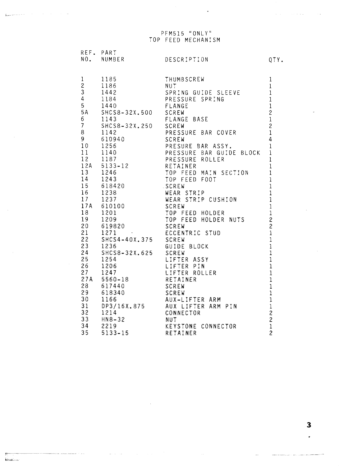PFM515 "ONLY" TOP FEED MECHANISM

**Lawrence** the contract of

وأوراء أعقه

 $\sim 10^{-10}$  m

 $\mathcal{A}$ 

| 1 1185<br>2 1186 NUT<br>3 1442 SPRING GUIDE SLEEVE<br>4 1184 PRESSURE SPRING<br>5 1440 FLANGE<br>5A SHCS8-32X.500 SCREW<br>6 1143 FLANGE BASE<br>1143 FLANGE BASE<br>SHCS8-32X.250 SCREW<br>/ SHCS8-32X.250 SCREW<br>8 1142 PRESSURE BAR COVER<br>9 610940 SCREW<br>10 1256 PRESSURE BAR ASSY.<br>11 1140 PRESSURE BAR GUIDE BLOCK<br>12 1187 PRESSURE ROLLER<br>12A 5133-12 RETAINER<br>13 1246 TOP FEED MAIN SECTION<br>14 1243 TOP FEED<br>19<br>14 1243<br>15 618420<br>16 1238 WEAR SINL<br>17 1237 WEAR SINL<br>17 1237 WEAR STRIP CUSHION<br>17 1237 WEAR STRIP CUSHION<br>17 1237 WEAR STRIP CUSHION<br>19 1209 TOP FEED HOLDER<br>19 1209 TOP FEED HOLDER<br>20 19820 SCREW<br>21 1271 EC | QTY.                                                                                                                                                                                                                                                            |  |
|----------------------------------------------------------------------------------------------------------------------------------------------------------------------------------------------------------------------------------------------------------------------------------------------------------------------------------------------------------------------------------------------------------------------------------------------------------------------------------------------------------------------------------------------------------------------------------------------------------------------------------------------------------------------------------------------------|-----------------------------------------------------------------------------------------------------------------------------------------------------------------------------------------------------------------------------------------------------------------|--|
| 20 1247<br>27 1247 LIFTER R(<br>27A 5560-18 RETAINER<br>28 617440 SCREW<br>29 618340 SCREW<br>30 1166 AUX-LIFT                                                                                                                                                                                                                                                                                                                                                                                                                                                                                                                                                                                     | $\mathbf{1}$<br>$\mathbf{1}$<br>$\mathbf{1}$<br>$\overline{1}$<br>$\mathbf{1}$<br>$\overline{c}$<br>$\frac{1}{2}$<br>$\overline{1}$<br>4<br>$1\,$<br>$1\,$<br>$\mathbf{1}$<br>$\,1$<br>$\mathbf 1$<br>$\mathbf 1$<br>$\begin{smallmatrix}1\\1\end{smallmatrix}$ |  |
| 30 1166 AUX-LIFTER ARM<br>31 DP3/16X.875 AUX-LIFTER ARM PIN<br>32 1214 CONNECTOR<br>33 HN8-32 NUT<br>34 2219 KEYSTONE CONNECTOR<br>35 5133-15 RETAINER                                                                                                                                                                                                                                                                                                                                                                                                                                                                                                                                             | $\begin{array}{c} 1 \\ 2 \\ 2 \\ 1 \end{array}$<br>$\overline{c}$                                                                                                                                                                                               |  |

 $\mathcal{A}^{\mathcal{A}}$ 

 $\mathcal{L}^{\mathcal{L}}$  , and the set of the set of the set of the set of  $\mathcal{L}^{\mathcal{L}}$ 

 $\overline{\mathbf{3}}$ 

 $\sim$  100  $\pm$  100  $\pm$  100  $\pm$ 

 $\sim$   $\sim$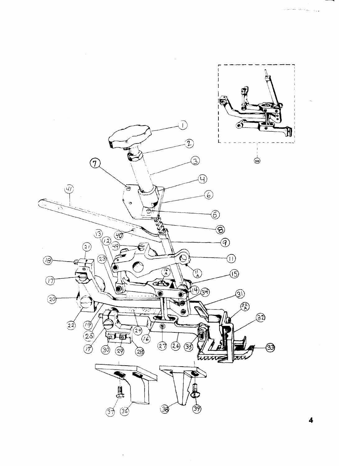

 $\overline{\mathbf{4}}$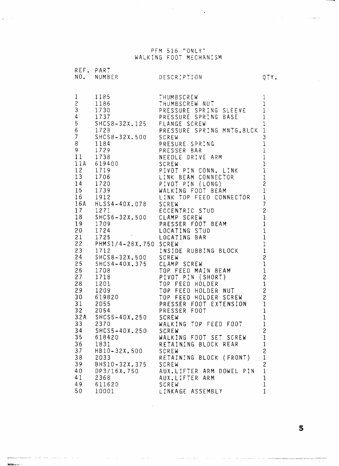#### PFM 516 "ONLY" WALKING FOOT MECHANISM

 $\sim$   $\sim$ 

 $\mathbf{x} \in \mathbb{R}^d$ 

سيحتقها

 $\sim$   $\sim$ 

|     | REF. PART                                                                                                                                      |                                                                                                                                                                                                                                                                        |                |
|-----|------------------------------------------------------------------------------------------------------------------------------------------------|------------------------------------------------------------------------------------------------------------------------------------------------------------------------------------------------------------------------------------------------------------------------|----------------|
|     |                                                                                                                                                | NO. NUMBER DESCRIPTION                                                                                                                                                                                                                                                 | QTY.           |
|     |                                                                                                                                                |                                                                                                                                                                                                                                                                        |                |
|     | 1 1185<br>2 1186 THUMBS<br>3 1730 PRESSU<br>4 1737 PRESSU<br>5 SHCS8-32X.125 FLANGE<br>6 1728 PRESSU<br>7 SHCS8-32X.500 SCREW<br>8 1194 PRESSU |                                                                                                                                                                                                                                                                        |                |
|     |                                                                                                                                                |                                                                                                                                                                                                                                                                        |                |
|     |                                                                                                                                                |                                                                                                                                                                                                                                                                        | $\mathbf{1}$   |
|     |                                                                                                                                                | PRESSURE SPRING SLEEVE<br>PRESSURE SPRING BASE                                                                                                                                                                                                                         | $\mathbf{1}$   |
|     |                                                                                                                                                |                                                                                                                                                                                                                                                                        | $\mathbf{1}$   |
|     |                                                                                                                                                |                                                                                                                                                                                                                                                                        | $\mathbf 1$    |
|     |                                                                                                                                                |                                                                                                                                                                                                                                                                        | 3              |
|     | 8 1184                                                                                                                                         | PRESURE SPRING                                                                                                                                                                                                                                                         |                |
|     | 8 1184<br>9 1729                                                                                                                               |                                                                                                                                                                                                                                                                        |                |
|     |                                                                                                                                                | $\begin{bmatrix} 1 \\ 1 \\ 1 \\ 1 \end{bmatrix}$                                                                                                                                                                                                                       |                |
|     |                                                                                                                                                |                                                                                                                                                                                                                                                                        |                |
|     |                                                                                                                                                |                                                                                                                                                                                                                                                                        |                |
|     |                                                                                                                                                |                                                                                                                                                                                                                                                                        |                |
|     |                                                                                                                                                |                                                                                                                                                                                                                                                                        |                |
|     |                                                                                                                                                |                                                                                                                                                                                                                                                                        |                |
|     |                                                                                                                                                | 9 1729 PRESSER BAR 1<br>11 1738 NEEDLE DRIVE ARM 1<br>12 1719 PIVOT PIN CONN. LINK 1<br>13 1706 LINK BEAM CONNECTOR 1<br>14 1720 PIVOT PIN (LONG) 2<br>15 1739 WALKING FOOT BEAM 1<br>16 1912 LINK TOP FEED CONNECTOR 1<br>16 1912 LINK TOP                            |                |
|     |                                                                                                                                                |                                                                                                                                                                                                                                                                        |                |
|     |                                                                                                                                                |                                                                                                                                                                                                                                                                        |                |
|     |                                                                                                                                                |                                                                                                                                                                                                                                                                        |                |
|     |                                                                                                                                                |                                                                                                                                                                                                                                                                        |                |
|     |                                                                                                                                                |                                                                                                                                                                                                                                                                        |                |
|     |                                                                                                                                                |                                                                                                                                                                                                                                                                        |                |
|     |                                                                                                                                                | 12 1719<br>12 1719<br>12 1719<br>12 1719<br>13 1706<br>14 1720<br>1707 PIN CONNECTOR<br>14 1720<br>PIVOT PIN (LONG)<br>2<br>15 1739<br>WALKING FOOT DEAM<br>16 1912<br>LINK TOP FEED CONNECTOR<br>1<br>16 1912<br>LINK TOP FEED CONNECTOR<br>1<br>16 1912<br>1727<br>E |                |
|     |                                                                                                                                                |                                                                                                                                                                                                                                                                        |                |
|     |                                                                                                                                                |                                                                                                                                                                                                                                                                        |                |
|     |                                                                                                                                                |                                                                                                                                                                                                                                                                        |                |
|     |                                                                                                                                                |                                                                                                                                                                                                                                                                        |                |
|     |                                                                                                                                                |                                                                                                                                                                                                                                                                        |                |
|     |                                                                                                                                                |                                                                                                                                                                                                                                                                        |                |
|     |                                                                                                                                                | 29 1209<br>30 619820<br>31 2055 PRESSER FOOT EXTENSION<br>32 2054 PRESSER FOOT EXTENSION                                                                                                                                                                               |                |
|     |                                                                                                                                                |                                                                                                                                                                                                                                                                        |                |
|     |                                                                                                                                                | PRESSER FOOT                                                                                                                                                                                                                                                           | $\overline{1}$ |
| 32A | SHCS5-40X.250                                                                                                                                  | <b>SCREW</b>                                                                                                                                                                                                                                                           | T              |
| 33  | 2370                                                                                                                                           | WALKING TOP FEED FOOT                                                                                                                                                                                                                                                  |                |
| 34  | SHCS5-40X.250                                                                                                                                  | <b>SCREW</b>                                                                                                                                                                                                                                                           | $\frac{1}{2}$  |
| 35  | 618420                                                                                                                                         | WALKING FOOT SET SCREW                                                                                                                                                                                                                                                 |                |
| 36  | 1831                                                                                                                                           | RETAINING BLOCK REAR                                                                                                                                                                                                                                                   |                |
| 37  | HB10-32X.500                                                                                                                                   | <b>SCREW</b>                                                                                                                                                                                                                                                           |                |
| 38  | 2033                                                                                                                                           | RETAINING BLOCK (FRONT)                                                                                                                                                                                                                                                |                |
| 39  | BHS10-32X.375                                                                                                                                  | <b>SCREW</b>                                                                                                                                                                                                                                                           | 112121         |
| 40  | DP3/16X.750                                                                                                                                    | AUX.LIFTER ARM DOWEL PIN                                                                                                                                                                                                                                               |                |
| 41  | 2368                                                                                                                                           | AUX.LIFTER ARM                                                                                                                                                                                                                                                         | $\mathbf{1}$   |
| 49  | 611620                                                                                                                                         | <b>SCREW</b>                                                                                                                                                                                                                                                           | $\,1$          |
| 50  | 10001                                                                                                                                          | LINKAGE ASSEMBLY                                                                                                                                                                                                                                                       | $\mathbf{1}$   |

 $\mathcal{L}^{\text{max}}_{\text{max}}$ 

موس<mark>تم در ب</mark>ردهای ایران از استان شده میشد از این ایران از ایران از ایران ایران از ایران از ایران از ایران شده می<br>در منظومی شده ایران

5

 $\sim$ 

 $\beta$  ) someone

 $\hat{\boldsymbol{\gamma}}$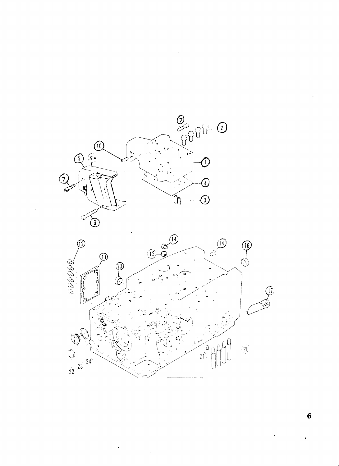



 $\boldsymbol{6}$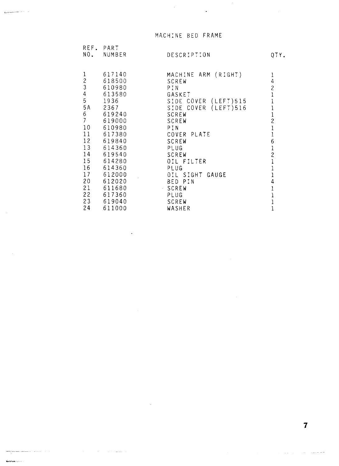MACHINE BED FRAME

 $\mathbf{h}_{\mathbf{a}}$  is the continuous fraction of  $\mathbf{h}_{\mathbf{a}}$ 

 $\frac{1}{2} \frac{1}{2} \frac{1}{2} \frac{1}{2} \frac{1}{2} \frac{1}{2}$ 

 $\mathcal{A}^{\mathcal{A}}$ 

**Existencia** 

 $\sim$ 

 $\frac{1}{2}$  .

|                       | REF. PART<br>NO. NUMBER    | DESCRIPTION                                | QTY.                                            |
|-----------------------|----------------------------|--------------------------------------------|-------------------------------------------------|
| $\frac{1}{2}$ 3 4 5   | 617140<br>618500<br>610980 | MACHINE ARM (RIGHT)<br><b>SCREW</b><br>PIN | $\mathbf 1$<br>$\overline{4}$<br>$\overline{c}$ |
|                       | 613580<br>1936             | GASKET<br>SIDE COVER (LEFT) 515            | $\frac{1}{1}$                                   |
| 5A                    | 2367                       | SIDE COVER (LEFT)516                       |                                                 |
| $\frac{6}{7}$         | 619240                     | <b>SCREW</b>                               | $\frac{1}{1}$                                   |
|                       | 619000                     | <b>SCREW</b>                               | $\overline{c}$                                  |
| 10 <sup>°</sup>       | 610980                     | PIN                                        | $\mathbf{1}$                                    |
| 11                    | 617380                     | COVER PLATE                                | $\overline{1}$                                  |
| 12 <sup>7</sup>       | 619840                     | <b>SCREW</b>                               | $\overline{6}$                                  |
| 13 <sup>°</sup>       | 614360                     | PLUG                                       | $\mathbf 1$                                     |
| 14                    | 619540                     | <b>SCREW</b>                               | $\overline{c}$                                  |
| 15<br>16 <sup>°</sup> | 614280<br>614360           | OIL FILTER                                 | $\mathbf{1}$<br>$\mathbf 1$                     |
| 17                    | 612000                     | PLUG<br>OIL SIGHT GAUGE                    | $\mathbf{1}$                                    |
| 20 <sub>2</sub>       | 612020                     | BED PIN                                    | 4                                               |
| 21                    | 611680                     | SCREW                                      |                                                 |
| 22 <sub>2</sub>       | 617360                     | PLUG                                       | $\frac{1}{1}$                                   |
| 23                    | 619040                     | <b>SCREW</b>                               | $\mathbf{1}$                                    |
| 24                    | 611000                     | WASHER                                     | $\overline{1}$                                  |
|                       |                            |                                            |                                                 |

 $\mathcal{L}^{\text{max}}_{\text{max}}$  .

 $\mathcal{L}^{\text{max}}_{\text{max}}$  and  $\mathcal{L}^{\text{max}}_{\text{max}}$ 

and the contract of the contract of the contract of the contract of the contract of the contract of the contract of the contract of the contract of the contract of the contract of the contract of the contract of the contra

 $\overline{7}$ 

فسأرتج والمتعارف والمستعمل والمتعارف والمتعارف والمتعارف والمتعارف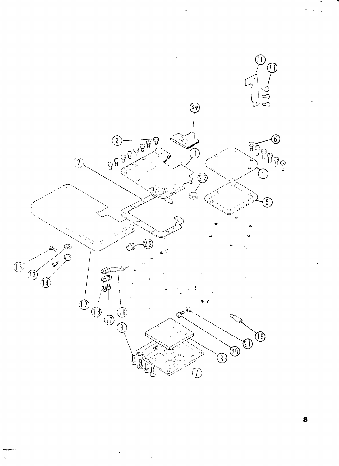

 $\hat{\mathcal{A}}$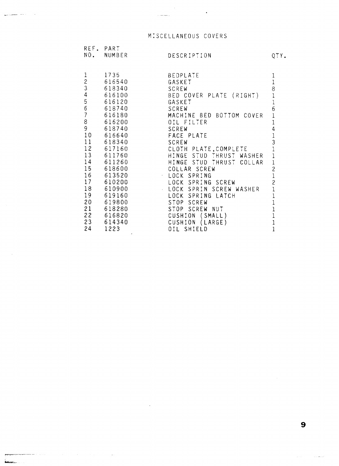# MISCELLANEOUS COVERS

 $\frac{1}{2} \left( \frac{1}{2} \right)^2 - \frac{1}{2} \left( \frac{1}{2} \right)^2$ 

.<br>. . . . .

 $\mathbf{L}$ 

|                            | REF. PART  |                          |                                                 |
|----------------------------|------------|--------------------------|-------------------------------------------------|
|                            | NO. NUMBER | DESCRIPTION              | QTY.                                            |
|                            |            |                          |                                                 |
| $\,1$                      | 1735       | BEDPLATE                 | $\mathbf{1}$                                    |
|                            | 616540     | GASKET                   |                                                 |
|                            | 618340     | SCREW                    | $\begin{array}{c} 1 \\ 8 \\ 1 \end{array}$      |
|                            | 616100     | BED COVER PLATE (RIGHT)  |                                                 |
| 2<br>3<br>4<br>5<br>6<br>7 | 616120     | GASKET                   | $\overline{1}$                                  |
|                            | 618740     | SCREW                    | $\begin{array}{c} 6 \\ 1 \end{array}$           |
|                            | 616180     | MACHINE BED BOTTOM COVER |                                                 |
| 8                          | 616200     | OIL FILTER               |                                                 |
| 9                          | 618740     | SCREW                    |                                                 |
| $1\,0$                     | 616640     | FACE PLATE               |                                                 |
| 11                         | 618340     | SCREW                    |                                                 |
| 12                         | 617160     | CLOTH PLATE, COMPLETE    |                                                 |
| 13                         | 611760     | HINGE STUD THRUST WASHER |                                                 |
| 14                         | 611260     | HINGE STUD THRUST COLLAR |                                                 |
| 15                         | 618600     | COLLAR SCREW             |                                                 |
| 16                         | 613520     | LOCK SPRING              |                                                 |
| 17                         | 610200     | LOCK SPRING SCREW        |                                                 |
| 18                         | 610900     | LOCK SPRIN SCREW WASHER  | 14131121211                                     |
| 19                         | 619160     | LOCK SPRING LATCH        |                                                 |
| 20                         | 619800     | STOP SCREW               | $\mathbf{1}$                                    |
| 21                         | 618280     | STOP SCREW NUT           |                                                 |
|                            | 22 616820  | CUSHION (SMALL)          |                                                 |
|                            | 23 614340  | CUSHION (LARGE)          | $\begin{array}{c} 1 \\ 1 \\ 1 \\ 1 \end{array}$ |
| 24                         | 1223       | OIL SHIELD               |                                                 |
|                            |            |                          |                                                 |

 $\mathcal{L}^{\text{max}}_{\text{max}}$  ,  $\mathcal{L}^{\text{max}}_{\text{max}}$ 

لمصرف والمتعاون والمتعاون والمتعاون والمتعاونة

 $\overline{9}$ 

 $\alpha$  ,  $\alpha$  ,  $\beta$  ,  $\beta$ 

فتستديد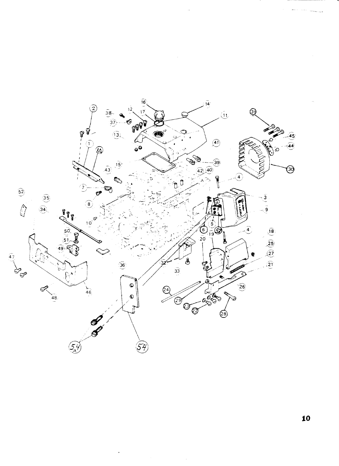

 $\frac{1}{2}$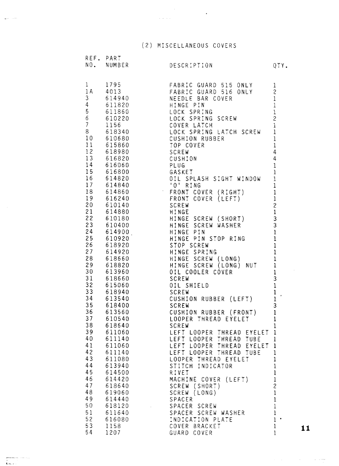## (2) MISCELLANEOUS COVERS

a la ser

i.

 $\cdots$ 

 $\begin{array}{c} \overbrace{\mathbf{r}}^{\text{max}} \\ \mathbf{r} \\ \mathbf{r} \end{array}$ 

 $\mathcal{L}_{\text{max}}$  ,  $\mathcal{L}_{\text{max}}$ 

| REF. PART                                          |                                                                                                                                                                                                         | NO. NUMBER DESCRIPTION                                                                                                                                                                                                                           | QTY.                                                                                                                              |
|----------------------------------------------------|---------------------------------------------------------------------------------------------------------------------------------------------------------------------------------------------------------|--------------------------------------------------------------------------------------------------------------------------------------------------------------------------------------------------------------------------------------------------|-----------------------------------------------------------------------------------------------------------------------------------|
|                                                    |                                                                                                                                                                                                         | 1 1795 FABRIC GUARD 515 ONLY<br>14 4013 FABRIC GUARD 515 ONLY<br>3 614940 NEEDLE BAR COVER<br>4 611820 HINGE PIN<br>5 611860 LOCK SPRING SCREW<br>7 1156 COVER LATCH<br>8 610220 LOCK SPRING SCREW<br>7 1156 COVER LATCH<br>8 618340 LOCK SPRI   |                                                                                                                                   |
|                                                    | $\begin{array}{cccc} 10 & 610680 \ 11 & 615860 \ 12 & 618980 \ 13 & 616820 \ 14 & 616060 \ 15 & 616800 \ 16 & 614820 \ 17 & 614840 \ 18 & 614860 \ 19 & 616240 \ 20 & 610140 \ 21 & 614880 \end{array}$ | 12 618980<br>13 616820 CUSHION<br>14 616060 PLUG<br>616800 GASKET<br>16 614820 OIL SPLASH SIGHT WINDOW<br>17 614840 '0' RING<br>17 614840 '0' RING<br>17 614840 FRONT COVER (RIGHT)<br>17 614840 FRONT COVER (RIGHT)<br>19 616240 FRONT COVER (L |                                                                                                                                   |
|                                                    |                                                                                                                                                                                                         |                                                                                                                                                                                                                                                  |                                                                                                                                   |
| $35 -$<br>36<br>37                                 | 618400<br>613560<br>610540                                                                                                                                                                              | 33 618940 SCREW<br>34 613540 CUSHION RUBBER (LEFT)<br>SCREW<br>CUSHION RUBBER (FRONT)<br>LOOPER THREAD EYELET                                                                                                                                    | $\frac{1}{1}$<br>$\mathbf{3}$<br>$\mathbf{1}$<br>$\mathbf 1$                                                                      |
| 38<br>39<br>40<br>41<br>42<br>43<br>44<br>45       | 618640<br>611060<br>611140<br>611060<br>611140<br>611080<br>613940<br>614500                                                                                                                            | <b>SCREW</b><br>LEFT LOOPER THREAD EYELET<br>LEFT LOOPER THREAD TUBE<br>LEFT LOOPER THREAD EYELET<br>LEFT LOOPER THREAD TUBE<br>LOOPER THREAD EYELET<br>STITCH INDICATOR<br>RIVET                                                                | 1<br>$\mathbf{1}$<br>1<br>$\mathbf{1}$<br>1<br>1<br>$\mathbf 1$<br>$\mathbf 1$                                                    |
| 46<br>47<br>48<br>49<br>50<br>51<br>52<br>53<br>54 | 614420<br>618640<br>619060<br>614440<br>618120<br>611640<br>616080<br>1158<br>1207                                                                                                                      | MACHINE COVER<br>(LEFT)<br>SCREW (SHORT)<br>SCREW (LONG)<br>SPACER<br>SPACER SCREW<br>SPACER SCREW WASHER<br>INDICATION PLATE<br>COVER BRACKET<br>GUARD COVER                                                                                    | $\mathbf{1}$<br>$\overline{c}$<br>$\mathbf{1}$<br>$\mathbf{1}$<br>$\,1$<br>$\mathbf 1$<br>$\mathbf{1}$<br>$\,1$<br>$\overline{1}$ |

**11** 

 $\label{eq:2.1} \frac{1}{\sqrt{2\pi}}\int_{0}^{\infty}\frac{1}{\sqrt{2\pi}}\left(\frac{1}{\sqrt{2\pi}}\int_{0}^{\infty}\frac{1}{\sqrt{2\pi}}\left(\frac{1}{\sqrt{2\pi}}\right)^{2}e^{-\frac{1}{2}\left(\frac{1}{\sqrt{2\pi}}\right)}\right)\frac{1}{\sqrt{2\pi}}\,d\theta.$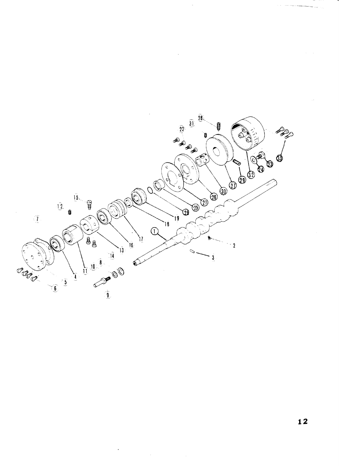

 $\overline{\mathbf{12}}$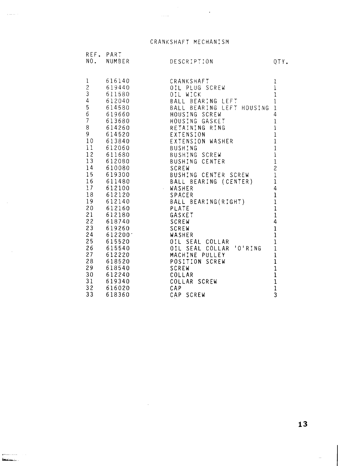CRANKSHAFT MECHANISM

 $\sim$   $\sim$ 

 $\mathcal{A}$ 

 $\sim 10$ 

| REF. PART       | NO. NUMBER       | DESCRIPTION                                                                    | QTY.                                       |
|-----------------|------------------|--------------------------------------------------------------------------------|--------------------------------------------|
| 123456          | 616140<br>619440 | CRANKSHAFT<br>OIL PLUG SCREW                                                   | $\mathbf{1}$<br>$\,1\,$                    |
|                 | 611580           | OIL WICK                                                                       | $\mathbf{1}$                               |
|                 | 612040           |                                                                                | $\,1$                                      |
|                 | 614580           | BALL BEARING LEFT<br>BALL BEARING LEFT HOUSING                                 | $1\,$                                      |
|                 | 619660           | HOUSING SCREW                                                                  | 4                                          |
| $\overline{7}$  | 613680           | HOUSING GASKET<br>RETAINING RING<br>HOUSING GASKET                             | $\mathbf 1$                                |
| 8               | 614260           |                                                                                | $\,1$                                      |
| 9               | 614520           | EXTENSION                                                                      | $\mathbf 1$                                |
| 10 <sub>o</sub> | 613840           | EXTENSION WASHER                                                               | $\mathbf 1$                                |
| 11              | 612060           | BUSHING                                                                        | $\mathbf{1}$                               |
| 12              | 611680           | BUSHING SCREW<br>BUSHING CENTER                                                | $\,1\,$                                    |
| 13              | 612080           | <b>BUSHING CENTER</b>                                                          |                                            |
| 14              | 610080           | SCREW                                                                          | $\begin{array}{c} 1 \\ 2 \\ 1 \end{array}$ |
| 15 <sub>1</sub> | 619300           | BUSHING CENTER SCREW<br>BALL BEARING (CENTER)<br>WASHER                        |                                            |
| 16 <sup>°</sup> | 611480           |                                                                                | $\mathbf{1}$                               |
| 17 <sub>1</sub> | 612100           |                                                                                | $\overline{4}$                             |
| 18              | 612120           | SPACER<br>BALL BEARING(RIGHT)<br>PLATE                                         | $\mathbf{1}$                               |
| 19              | 612140           |                                                                                | $\mathbf{1}$                               |
| 20              | 612160           |                                                                                | $\mathbf{1}$                               |
| 21              | 612180           |                                                                                | $\mathbf 1$                                |
| 22              | 618740           | GASKET<br>SCREW<br>SCREW                                                       | $\overline{4}$                             |
| 23              | 619260           |                                                                                | $\mathbf 1$                                |
| 24              | 612200           | WASHER                                                                         | $\mathbf{1}$                               |
| 25              | 615520           | OIL SEAL COLLAR<br>OIL SEAL COLLAR 'O'RING<br>MACHINE PULLEY<br>POSITION SCREW | $\mathbf 1$                                |
| 26              | 615540           |                                                                                | $\mathbf 1$                                |
| 27              | 612220           |                                                                                | $\mathbf 1$                                |
| 28<br>29        | 618520<br>618540 |                                                                                | $\mathbf 1$                                |
| 30              | 612240           | COLLAR                                                                         | $\,1\,$<br>$\mathbf{1}$                    |
| 31              | 619340           | COLLAR SCREW                                                                   | $\mathbf 1$                                |
| 32              | 616020           | CAP                                                                            | $\mathbf{1}$                               |
| 33              | 618360           | CAP SCREW                                                                      | $\overline{3}$                             |
|                 |                  |                                                                                |                                            |

 $\hat{\boldsymbol{\epsilon}}$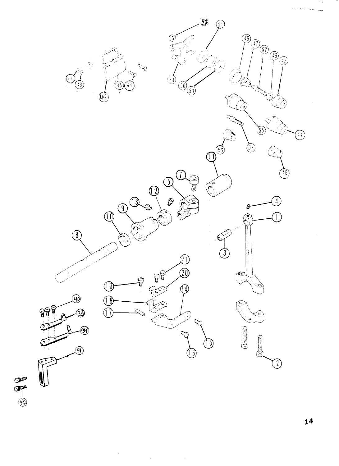

 $\ddot{\phantom{0}}$ 

 $\mathcal{A}^{\mathcal{A}}$ 

 $\mathcal{A}^{\mathcal{A}}$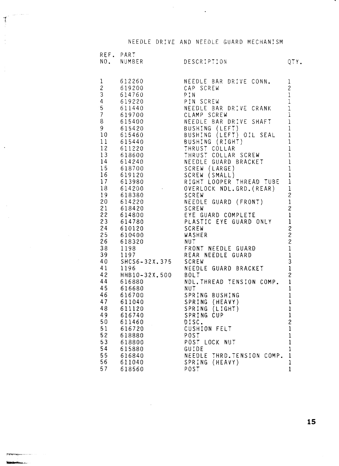NEEDLE DRIVE AND NEEDLE GUARD MECHANISM

 $\label{eq:2.1} \frac{\partial \mathcal{L}_{\text{max}}}{\partial \mathcal{L}_{\text{max}}}\left( \frac{\partial \mathcal{L}_{\text{max}}}{\partial \mathcal{L}_{\text{max}}}\right) \right) = \frac{1}{2} \sum_{i=1}^{N} \frac{\partial \mathcal{L}_{\text{max}}}{\partial \mathcal{L}_{\text{max}}}\left( \frac{\partial \mathcal{L}_{\text{max}}}{\partial \mathcal{L}_{\text{max}}}\right) \left( \frac{\partial \mathcal{L}_{\text{max}}}{\partial \mathcal{L}_{\text{max}}}\right) \left( \frac{\partial \mathcal{L}_{\text{max}}}{\partial \mathcal{L}_{$ 

 $\mathcal{L}$ 

 $\frac{1}{2}$ 

 $\frac{1}{\sqrt{2}}$ 

 $\sim$ 

 $\sim$ 

 $\sim$ 

|                                                                                                                      | REF. PART                                                                                                                                                                                         | NO. NUMBER DESCRIPTION                                                                                                                                                                                                                                                                                                                                                                                                                                                                                                                                                                | QTY.                                                                                                                                                                                                                                                                                     |
|----------------------------------------------------------------------------------------------------------------------|---------------------------------------------------------------------------------------------------------------------------------------------------------------------------------------------------|---------------------------------------------------------------------------------------------------------------------------------------------------------------------------------------------------------------------------------------------------------------------------------------------------------------------------------------------------------------------------------------------------------------------------------------------------------------------------------------------------------------------------------------------------------------------------------------|------------------------------------------------------------------------------------------------------------------------------------------------------------------------------------------------------------------------------------------------------------------------------------------|
| $\mathbf{1}$<br>14<br>18<br>23<br>24<br>25                                                                           | 612260<br>8 615400<br>9 615420<br>10 615460<br>11 615440<br>12 611220<br>13 618600<br>614240<br>15 618700<br>16 619120<br>17 613980<br>614200<br>19 618380<br>20 614220<br>21 618420<br>22 614800 | NEEDLE BAR DRIVE CONN.<br>CAP SCREW<br>PIN SCREW<br>NEEDLE BAR DRIVE CRANK<br>LEEDLE BAR DRIVE SHAFT<br>LEEDLE BAR DRIVE SHAFT<br>NEEDLE BAR DRIVE SHAFT<br>BUSHING (LEFT) OIL SEAL<br>BUSHING (LEFT) OIL SEAL<br>1<br>BUSHING (RIGHT) 1<br>THRUST C<br>RIGHT LOOPER THREAD TUBE<br>OVERLOCK NDL.GRD. (REAR)<br>SCREW<br>SCREW<br>NEEDLE GUARD (FRONT)<br>SCREW<br>614220<br>618420 SCREW<br>614800 EYE GUARD COMPLETE<br>614780 PLASTIC EYE GUARD ONLY<br>610120 SCREW<br>610400 WASHER<br>618320 NUT<br>1198 FRONT NEEDLE GUARD<br>1197 REAR NEEDLE GUARD<br>1197 REAR NEEDLE GUARD | $\,1\,$<br>$\mathbf 1$<br>$\frac{2}{1}$<br>$\overline{c}$<br>$\mathbf 1$<br>$\mathbf{1}$                                                                                                                                                                                                 |
| 26<br>38<br>39<br>40<br>41<br>42<br>44<br>45<br>46<br>47<br>48<br>49<br>50<br>51<br>52<br>53<br>54<br>55<br>56<br>57 | 611040<br>611120<br>616740<br>611460<br>616720<br>618880<br>618800<br>615880<br>616840<br>611040<br>618560                                                                                        | HHB10-32X.500 BOLT<br>616880 NDL.THREAD TENSION COMP.<br>616680 NUT<br>616700 SPRING BUSHING<br>SPRING (HEAVY)<br>SPRING (LIGHT)<br>SPRING<br>CUP<br>DISC.<br>CUSHION FELT<br>POST<br>POST LOCK NUT<br>GUIDE<br>NEEDLE<br>THRD. TENSION COMP.<br>SPRING<br>(HEAVY)<br>POST                                                                                                                                                                                                                                                                                                            | 2221131<br>$\overline{c}$<br>$\mathbf{1}$<br>$\mathbf 1$<br>$\mathbf 1$<br>$\mathbf 1$<br>$\mathbf 1$<br>$\mathbf 1$<br>$\overline{\mathbf{c}}$<br>$\mathbf 1$<br>$\mathbf{1}% \in\mathbb{R}^{d}\times\mathbb{R}^{d}$<br>$\mathbf{1}$<br>$\mathbf 1$<br>$\mathbf{1}$<br>$\mathbf 1$<br>1 |

 $\sim 10^7$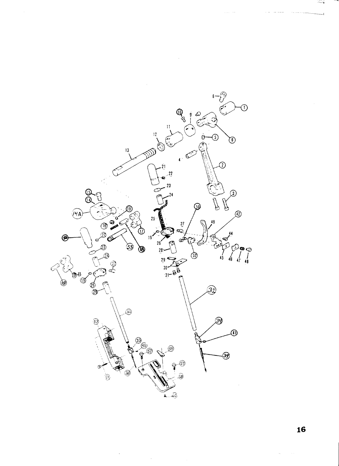

 $\boldsymbol{\beta}$ 

 $\hat{\mathcal{A}}$ 

16

— 1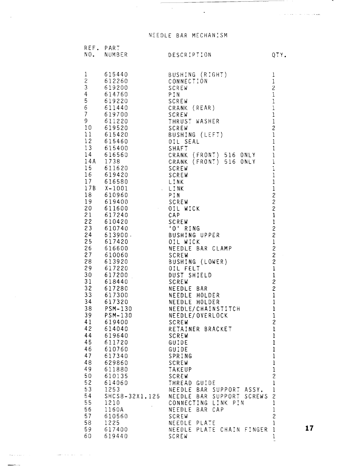$\mathcal{L}_{\mathbf{r}}$ 

 $\mathcal{L}^{\text{max}}_{\text{max}}$  , where  $\mathcal{L}^{\text{max}}_{\text{max}}$ 

\_\_\_\_\_\_\_\_

 $\hat{\phi}$  , which is a set of the set of the set of  $\hat{\phi}$ 

 $\sim$  .

 $\label{eq:3.1} \mathcal{L}(\mathbf{w},\mathbf{w}) = \mathcal{L}(\mathbf{w},\mathbf{w}) = \mathcal{L}(\mathbf{w},\mathbf{w}) = \mathcal{L}(\mathbf{w},\mathbf{w}) = \mathcal{L}(\mathbf{w},\mathbf{w}) = \mathcal{L}(\mathbf{w},\mathbf{w})$ 

 $\frac{1}{2} \frac{1}{2} \frac{1}{2} \frac{1}{2} \frac{1}{2} \frac{1}{2} \frac{1}{2} \frac{1}{2} \frac{1}{2} \frac{1}{2} \frac{1}{2} \frac{1}{2} \frac{1}{2} \frac{1}{2} \frac{1}{2} \frac{1}{2} \frac{1}{2} \frac{1}{2} \frac{1}{2} \frac{1}{2} \frac{1}{2} \frac{1}{2} \frac{1}{2} \frac{1}{2} \frac{1}{2} \frac{1}{2} \frac{1}{2} \frac{1}{2} \frac{1}{2} \frac{1}{2} \frac{1}{2} \frac{$ 

| REF. PART                                                                                                                                                                                                                                                                                                                         | NO. NUMBER                                                                                                                                                                                                                                                                                                                                                                                                                                                                                                                                                                                                                                              | DESCRIPTION                                                                                                                                                                                                                                                                                                                                                                                                                                                                                                                                                                                                                                                                                                                                                                                                                                     | QTY.                                                                                                                                                                                                                                                                                                                                                                                                                                                                                                                                                                    |
|-----------------------------------------------------------------------------------------------------------------------------------------------------------------------------------------------------------------------------------------------------------------------------------------------------------------------------------|---------------------------------------------------------------------------------------------------------------------------------------------------------------------------------------------------------------------------------------------------------------------------------------------------------------------------------------------------------------------------------------------------------------------------------------------------------------------------------------------------------------------------------------------------------------------------------------------------------------------------------------------------------|-------------------------------------------------------------------------------------------------------------------------------------------------------------------------------------------------------------------------------------------------------------------------------------------------------------------------------------------------------------------------------------------------------------------------------------------------------------------------------------------------------------------------------------------------------------------------------------------------------------------------------------------------------------------------------------------------------------------------------------------------------------------------------------------------------------------------------------------------|-------------------------------------------------------------------------------------------------------------------------------------------------------------------------------------------------------------------------------------------------------------------------------------------------------------------------------------------------------------------------------------------------------------------------------------------------------------------------------------------------------------------------------------------------------------------------|
| $\mathbf{1}$<br>$\frac{2}{3}$<br>4<br>5<br>$6\overline{6}$<br>$\overline{7}$<br>9<br>$1\,0$<br>11<br>14A<br>20 <sub>2</sub><br>22<br>23<br>24<br>25<br>26<br>27<br>28<br>29<br>30<br>31<br>32<br>33<br>34<br>38<br>39<br>41<br>42<br>44<br>45<br>46<br>47<br>48<br>49<br>50<br>52<br>53<br>54<br>55<br>56<br>57<br>58<br>59<br>60 | 615440<br>612260<br>619200<br>614760<br>619220<br>611440<br>619700<br>611220<br>619520<br>615420<br>$\begin{array}{cc} 12 & 615460 \\ 13 & 615400 \\ 13 & 615560 \end{array}$<br>14 616560<br>1738<br>15 611620<br>16 619420<br>17 616580<br>$17B$ $X-1001$<br>LINK<br>18 610960<br>19 619400<br>611600<br>21 617240<br>610420<br>610740<br>617420<br>616600<br>610060<br>613920<br>617220<br>617200<br>618440<br>617280<br>617300<br>617320<br>PSM-130<br>PSM-130<br>619400<br>614040<br>619640<br>611720<br>610760<br>617340<br>629860<br>611880<br>610135<br>614060<br>1253<br>SHCS8-32X1.125<br>1210<br>1160A<br>610560<br>1225<br>617400<br>619440 | BUSHING (RIGHT)<br>CONNECTION<br>SCREW<br>PIN<br>SCREW<br>CRANK (REAR)<br>SCREW<br>THRUST WASHER<br><b>SCREW</b><br>BUSHING (LEFT)<br>OIL SEAL<br>SHAFT<br>CRANK (FRONT) 516 ONLY<br>CRANK (FRONT) 516 ONLY<br>SCREW<br>SCREW<br>LINK<br>PIN<br>SCREW<br>OIL WICK<br>CAP<br>SCREW<br>'O' RING<br>613900. BUSHING UPPER<br>OIL WICK<br>NEEDLE BAR CLAMP<br>SCREW<br>BUSHING (LOWER)<br><b>OIL FELT</b><br>DUST SHIELD<br>SCREW<br>NEEDLE BAR<br>NEEDLE HOLDER<br>NEEDLE HOLDER<br>NEEDLE/CHAINSTITCH<br>NEEDLE/OVERLOCK<br><b>SCREW</b><br>RETAINER BRACKET<br><b>SCREW</b><br>GUIDE<br>GUIDE<br>SPRING<br><b>SCREW</b><br>TAKEUP<br><b>SCREW</b><br>THREAD GUIDE<br>NEEDLE BAR SUPPORT ASSY.<br>NEEDLE BAR SUPPORT SCREWS<br>CONNECTING LINK PIN<br>NEEDLE BAR CAP<br><b>SCREW</b><br>NEEDLE PLATE<br>NEEDLE PLATE CHAIN FINGER<br><b>SCREW</b> | $\,1$<br>$\mathbf 1$<br>$\overline{c}$<br>$\mathbf 1$<br>$\,1$<br>$\mathbf 1$<br>$\begin{array}{c} 1 \\ 1 \\ 2 \\ 1 \end{array}$<br>$\mathbf{l}$<br>$\mathbf{l}$<br>$\begin{array}{c} 1 \\ 1 \\ 1 \end{array}$<br>11122211221221122<br>T<br>1<br>$\mathbf{1}$<br>$\mathbf 1$<br>$\overline{c}$<br>$\mathfrak l$<br>$\mathbf{1}$<br>$\mathbf 1$<br>$\mathbf 1$<br>$\mathfrak l$<br>$\mathbf 1$<br>$\mathbf 1$<br>$\overline{c}$<br>$\mathbf 1$<br>$\mathbf 1$<br>$\overline{c}$<br>$\mathbf{1}$<br>$\,1$<br>$\overline{c}$<br>$\mathbf 1$<br>$\mathbf{1}$<br>$\mathbf 1$ |
|                                                                                                                                                                                                                                                                                                                                   |                                                                                                                                                                                                                                                                                                                                                                                                                                                                                                                                                                                                                                                         |                                                                                                                                                                                                                                                                                                                                                                                                                                                                                                                                                                                                                                                                                                                                                                                                                                                 |                                                                                                                                                                                                                                                                                                                                                                                                                                                                                                                                                                         |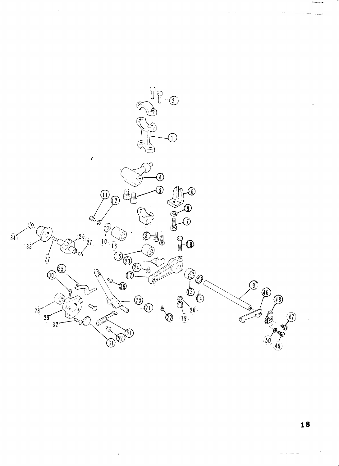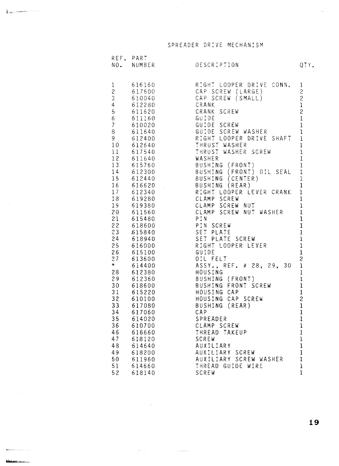# SPREADER DRIVE MECHANISM

 $\label{eq:2} \left\{ \gamma_{\text{max}}(\gamma_{\text{c}}), \gamma_{\text{c}}(\gamma_{\text{c}}) \text{ is a factor of } \gamma_{\text{c}}(\gamma_{\text{c}}) \text{ and } \gamma_{\text{c}}(\gamma_{\text{c}}) \text{ is a constant of } \gamma_{\text{c}}(\gamma_{\text{c}}) \text{ and } \gamma_{\text{c}}(\gamma_{\text{c}}) \text{ is a constant of } \gamma_{\text{c}}(\gamma_{\text{c}}) \text{ and } \gamma_{\text{c}}(\gamma_{\text{c}}) \text{ is a constant of } \gamma_{\text{c}}(\gamma_{\text{c}}) \text{ and } \gamma_{\$ 

 $\bar{\mathcal{A}}$ 

 $\hat{\mathcal{A}}$ 

 $\frac{1}{2}$  . The property of the  $\alpha$  -set  $\alpha$  ,  $\alpha$  ,  $\beta$  ,  $\beta$ 

**Constant Andrew** 

|                                             | REF. PART<br>NO. NUMBER | DESCRIPTION                                                                                                                  | QTY.                                          |
|---------------------------------------------|-------------------------|------------------------------------------------------------------------------------------------------------------------------|-----------------------------------------------|
|                                             |                         |                                                                                                                              |                                               |
|                                             | 616160                  | RIGHT LOOPER DRIVE CONN.                                                                                                     | $1221$<br>$211$<br>$1$                        |
|                                             | 617600                  |                                                                                                                              |                                               |
| $\frac{1}{2}$ $\frac{2}{3}$ $\frac{3}{4}$ 5 | 610040                  | CAP SCREW (LARGE)<br>CAP SCREW (SMALL)                                                                                       |                                               |
|                                             | 612280                  | CRANK                                                                                                                        |                                               |
|                                             | 611620                  | CRANK SCREW                                                                                                                  |                                               |
| $\boldsymbol{6}$                            | 611160                  | GUIDE                                                                                                                        |                                               |
| $\overline{7}$                              | 610020                  | GUIDE SCREW                                                                                                                  |                                               |
| 8                                           | 611640                  | GUIDE SCREW WASHER                                                                                                           | $\mathbf 1$                                   |
| 9                                           | 612400                  | RIGHT LOOPER DRIVE SHAFT                                                                                                     | $\mathbf 1$                                   |
|                                             | 10 612640               | THRUST WASHER                                                                                                                | $\mathbf 1$                                   |
|                                             | 11 617540               | THRUST WASHER SCREW                                                                                                          |                                               |
| 12 <sup>°</sup>                             | 611640                  | WASHER                                                                                                                       |                                               |
|                                             | 13 615760               |                                                                                                                              |                                               |
| 14                                          | 612300                  |                                                                                                                              |                                               |
| 15                                          | 612440                  |                                                                                                                              |                                               |
|                                             | 16 616620               |                                                                                                                              |                                               |
| 17 <sup>7</sup>                             | 612340                  | BUSHING (FRONT)<br>BUSHING (FRONT) OIL SEAL<br>BUSHING (CENTER)<br>BUSHING (REAR)<br>RIGHT LOOPER LEVER CRANK<br>CLAMP SOPEH |                                               |
| 18                                          | 619280                  | CLAMP SCREW                                                                                                                  |                                               |
| 19                                          | 619380                  | CLAMP SCREW NUT                                                                                                              | $\mathbf 1$                                   |
| 20 <sub>o</sub>                             | 611560                  | CLAMP SCREW NUT WASHER                                                                                                       | $\mathbf 1$                                   |
| 21                                          | 615480                  | PIN                                                                                                                          | $\mathbf 1$                                   |
| 22                                          | 618600                  | PIN SCREW                                                                                                                    | $1111$<br>$1121$<br>$21$                      |
| 23                                          | 615840                  | SET PLATE                                                                                                                    |                                               |
| 24                                          | 618940                  | SET PLATE SCREW                                                                                                              |                                               |
| 25                                          | 616000                  | RIGHT LOOPER LEVER                                                                                                           |                                               |
| 26                                          | 615100                  | GUIDE                                                                                                                        |                                               |
| 27<br>$\star$                               | 613600                  | OIL FELT<br>UIL FELI<br>ASSY., REF. # 28, 29, 30                                                                             |                                               |
|                                             | 614400                  |                                                                                                                              |                                               |
|                                             | 28 612380               | HOUSING                                                                                                                      |                                               |
| 29<br>30 <sub>o</sub>                       | 612360                  | BUSHING (FRONT)<br>BUSHING FRONT SCREW                                                                                       | $\begin{smallmatrix}1\\1\\1\end{smallmatrix}$ |
| 31                                          | 618600<br>615220        |                                                                                                                              | $\mathbf 1$                                   |
| 32                                          | 610100                  | HOUSING CAP<br>HOUSING CAP SCREW                                                                                             | $\overline{c}$                                |
| 33 <sup>2</sup>                             | 617080                  | BUSHING (REAR)                                                                                                               | $\overline{1}$                                |
| 34                                          | 617060                  | CAP                                                                                                                          | $\mathbf{1}$                                  |
| 35                                          | 614020                  | SPREADER                                                                                                                     | $\mathbf{1}$                                  |
| 36                                          | 610700                  | CLAMP SCREW                                                                                                                  |                                               |
| 46                                          | 616660                  | THREAD TAKEUP                                                                                                                | $\begin{array}{c} 1 \\ 1 \\ 1 \end{array}$    |
| 47                                          | 618120                  | <b>SCREW</b>                                                                                                                 |                                               |
| 48                                          | 614640                  | AUXILIARY                                                                                                                    | $\mathbf{1}$                                  |
| 49                                          | 618200                  | AUXILIARY SCREW                                                                                                              |                                               |
| 50                                          | 611960                  | AUXILIARY SCREW WASHER                                                                                                       | $\frac{1}{1}$                                 |
| 51                                          | 614660                  | <b>THREAD</b><br>GUIDE<br>WIRE                                                                                               | $\mathbf 1$                                   |
| 52                                          | 618140                  | <b>SCREW</b>                                                                                                                 | $\mathbf 1$                                   |
|                                             |                         |                                                                                                                              |                                               |

 $\sim 10$ 

 $\mathcal{L}_{\mathcal{A}}$  , where  $\mathcal{L}_{\mathcal{A}}$  is the contract of the contract of the contract of  $\mathcal{A}$ 

 $\hat{\mathcal{A}}$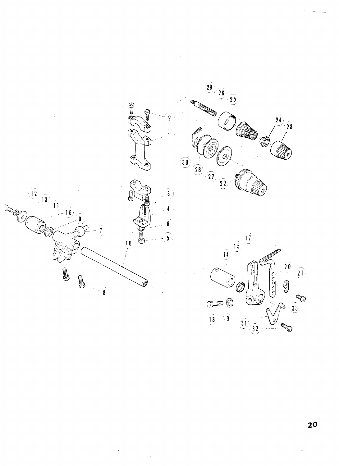

Ŷ,

 $\frac{1}{2}$ 

 $\hat{\mathcal{A}}$ 

 $\hat{\mathcal{A}}$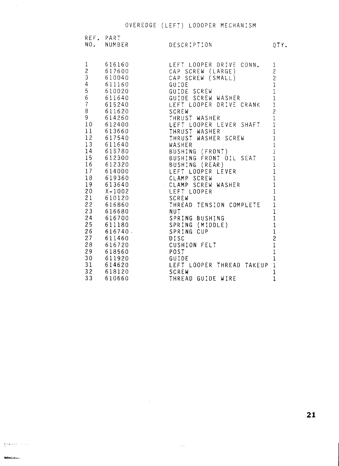$\frac{1}{2}$  .

 $\mathbf{r}^{\text{target}}$  . . . . . . .

**ENGLAND** 

|                       | REF. PART<br>NO. NUMBER | DESCRIPTION                                                       | QTY.                                            |
|-----------------------|-------------------------|-------------------------------------------------------------------|-------------------------------------------------|
| $\mathbf{1}$          | 616160                  | LEFT LOOPER DRIVE CONN.<br>CAP SCREW (LARGE)<br>CAP SCREW (SMALL) |                                                 |
| $\frac{2}{3}$         | 617600<br>610040        |                                                                   | $\begin{array}{c} 1 \\ 2 \\ 2 \\ 1 \end{array}$ |
|                       | 611160                  | GUIDE                                                             |                                                 |
| 4<br>5<br>6<br>7      | 610020                  | GUIDE SCREW                                                       |                                                 |
|                       | 611640                  | GUIDE SCREW WASHER<br>LEFT LOOPER DRIVE CRANK                     |                                                 |
|                       | 615240                  |                                                                   |                                                 |
| 8<br>9                | 611620<br>614260        | SCREW<br>THRUST WASHER                                            |                                                 |
| $1\,0$                | 612400                  | LEFT LOOPER LEVER SHAFT                                           |                                                 |
| 11                    | 613660                  | THRUST WASHER                                                     |                                                 |
| $1\,2$                | 617540                  | THRUST WASHER SCREW                                               |                                                 |
| $13$                  | 611640                  | WASHER                                                            |                                                 |
| 14                    | 615780                  | BUSHING (FRONT)                                                   |                                                 |
| 15<br>16              | 612300<br>612320        | BUSHING FRONT OIL SEAT                                            |                                                 |
| 17                    | 614000                  | BUSHING (REAR)<br>LEFT LOOPER LEVER                               |                                                 |
| $1\,8$                | 619360                  | CLAMP SCREW                                                       |                                                 |
| 19                    | 613640                  | CLAMP SCREW WASHER                                                |                                                 |
| 20                    | $X - 1002$              | LEFT LOOPER                                                       |                                                 |
| 21                    | 610120                  | SCREW                                                             |                                                 |
| 22<br>23              | 616860<br>616680        | THREAD TENSION COMPLETE<br>NUT                                    |                                                 |
| 24                    | 616700                  | SPRING BUSHING                                                    |                                                 |
| 25                    | 611180                  | SPRING (MIDDLE)                                                   |                                                 |
| 26                    | 616740 SPRING CUP       |                                                                   |                                                 |
| 27                    | 611460                  | DISC                                                              |                                                 |
| 28                    | 616720                  | CUSHION FELT                                                      |                                                 |
| 29<br>30 <sub>o</sub> | 618560<br>611920        | POST<br>GUIDE                                                     |                                                 |
| 31                    | 614620                  | LEFT LOOPER THREAD TAKEUP                                         |                                                 |
| 32                    | 618120                  | SCREW                                                             | $\mathbf{1}$                                    |
| 33                    | 610660                  | THREAD GUIDE WIRE                                                 | $\mathbf{1}$                                    |
|                       |                         |                                                                   |                                                 |

 $\label{eq:2.1} \frac{1}{2} \sum_{i=1}^n \frac{1}{2} \sum_{j=1}^n \frac{1}{2} \sum_{j=1}^n \frac{1}{2} \sum_{j=1}^n \frac{1}{2} \sum_{j=1}^n \frac{1}{2} \sum_{j=1}^n \frac{1}{2} \sum_{j=1}^n \frac{1}{2} \sum_{j=1}^n \frac{1}{2} \sum_{j=1}^n \frac{1}{2} \sum_{j=1}^n \frac{1}{2} \sum_{j=1}^n \frac{1}{2} \sum_{j=1}^n \frac{1}{2} \sum_{j=1}^n \frac{$ 

 $\sim$   $\sim$   $\sim$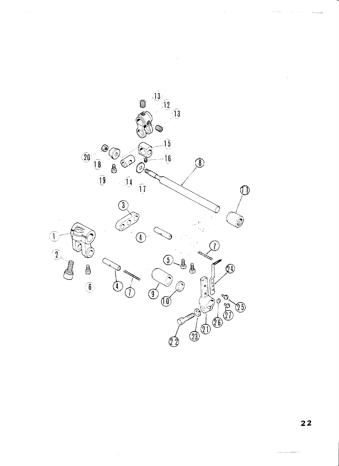

 $\mathcal{L}_{\mathcal{A}}$ 

 $\frac{1}{2}$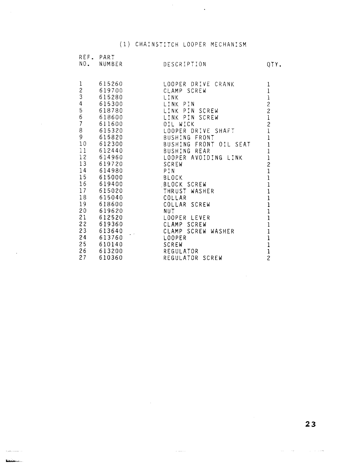# (1) CHAINSTITCH LOOPER MECHANISM

 $\mathcal{L}^{\text{max}}$  .

 $\sim 10^{-10}$ 

|                       | REF. PART<br>NO. NUMBER | DESCRIPTION                  | QTY.                                       |
|-----------------------|-------------------------|------------------------------|--------------------------------------------|
|                       |                         |                              |                                            |
| 1234567               | 615260                  | LOOPER DRIVE CRANK           | $\frac{1}{1}$                              |
|                       | 619700                  | CLAMP SCREW                  |                                            |
|                       | 615280                  | LINK                         |                                            |
|                       | 615300                  | LINK PIN                     |                                            |
|                       | 618780                  | LINK PIN SCREW               |                                            |
|                       | 618600                  | LINK PIN SCREW               |                                            |
|                       | 611600                  | OIL WICK                     |                                            |
| $\delta$<br>9         | 615320                  | LOOPER DRIVE SHAFT           |                                            |
|                       | 615820                  | BUSHING FRONT                | $122121$<br>$1111$                         |
| 10                    | 612300                  | BUSHING FRONT OIL SEAT       |                                            |
| 11                    | 612440                  | BUSHING REAR                 |                                            |
| 12 <sup>°</sup><br>13 | 614960<br>619720        | LOOPER AVOIDING LINK         |                                            |
| 14                    | 614980                  | SCREW                        |                                            |
| 15                    |                         | PIN                          |                                            |
|                       | 615000                  | <b>BLOCK</b>                 |                                            |
| 16                    | 619400                  | BLOCK SCREW                  |                                            |
| 17                    | 615020                  | THRUST WASHER                |                                            |
| 18                    | 615040                  | COLLAR                       |                                            |
| 19                    | 618600                  | COLLAR SCREW                 |                                            |
| 20                    | 619620                  | NUT                          |                                            |
| 21<br>22              | 612520                  | LOOPER LEVER                 |                                            |
| 23                    | 619360                  | CLAMP SCREW                  |                                            |
|                       | 613640                  | CLAMP SCREW WASHER<br>LOOPER |                                            |
| 24                    | 613760                  |                              |                                            |
| 25                    | 610140                  | <b>SCREW</b>                 | $\begin{array}{c} 1 \\ 1 \\ 2 \end{array}$ |
| 26                    | 613200 REGULATOR        |                              |                                            |
| 27                    | 610360                  | REGULATOR SCREW              |                                            |

 $\mathcal{L}^{\text{max}}_{\text{max}}$ 

 $\sim$   $\omega$  and  $\omega$ 

 $\sim 10^6$ 

 $\sim 10^7$ 

 $\sigma_{\rm c}$  gauge constraints are *Electional*  23

 $\Delta \sim 10^{11}$  m  $\lambda \sim$ 

 $\alpha\in\mathbb{R}^d$  ,  $\alpha\in\mathbb{R}^d$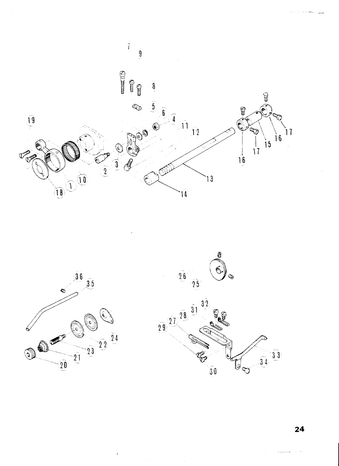

 $\hat{\mathcal{L}}$ 

 $\mathcal{F}_\mathrm{c}$ 



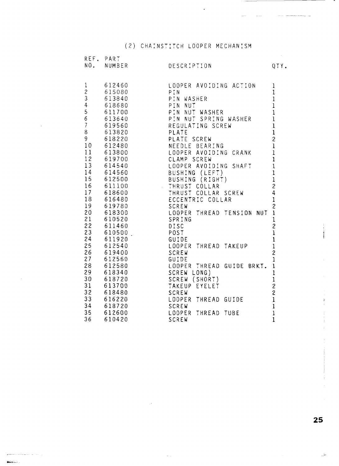# (2) CHAINSTITCH LOOPER MECHANISM

|    | NUMBER                                                                                                                                                                                              |                                                                                                                                                                                                                                                                                                                                        | QTY.                                                                                                                                                                                                                                                                                                                                                                                                                                                                                                                                                                                                                  |
|----|-----------------------------------------------------------------------------------------------------------------------------------------------------------------------------------------------------|----------------------------------------------------------------------------------------------------------------------------------------------------------------------------------------------------------------------------------------------------------------------------------------------------------------------------------------|-----------------------------------------------------------------------------------------------------------------------------------------------------------------------------------------------------------------------------------------------------------------------------------------------------------------------------------------------------------------------------------------------------------------------------------------------------------------------------------------------------------------------------------------------------------------------------------------------------------------------|
| 1  |                                                                                                                                                                                                     |                                                                                                                                                                                                                                                                                                                                        | 1                                                                                                                                                                                                                                                                                                                                                                                                                                                                                                                                                                                                                     |
|    |                                                                                                                                                                                                     |                                                                                                                                                                                                                                                                                                                                        | $\mathbf{1}$                                                                                                                                                                                                                                                                                                                                                                                                                                                                                                                                                                                                          |
|    |                                                                                                                                                                                                     |                                                                                                                                                                                                                                                                                                                                        | $\mathbf{1}$                                                                                                                                                                                                                                                                                                                                                                                                                                                                                                                                                                                                          |
|    |                                                                                                                                                                                                     |                                                                                                                                                                                                                                                                                                                                        | $\mathbf 1$                                                                                                                                                                                                                                                                                                                                                                                                                                                                                                                                                                                                           |
|    |                                                                                                                                                                                                     |                                                                                                                                                                                                                                                                                                                                        | $\,1$                                                                                                                                                                                                                                                                                                                                                                                                                                                                                                                                                                                                                 |
|    |                                                                                                                                                                                                     |                                                                                                                                                                                                                                                                                                                                        | $\mathbf 1$                                                                                                                                                                                                                                                                                                                                                                                                                                                                                                                                                                                                           |
|    |                                                                                                                                                                                                     |                                                                                                                                                                                                                                                                                                                                        | $\mathbf{1}$                                                                                                                                                                                                                                                                                                                                                                                                                                                                                                                                                                                                          |
|    |                                                                                                                                                                                                     |                                                                                                                                                                                                                                                                                                                                        | $\mathbf{1}$                                                                                                                                                                                                                                                                                                                                                                                                                                                                                                                                                                                                          |
|    |                                                                                                                                                                                                     |                                                                                                                                                                                                                                                                                                                                        | $\overline{c}$<br>$\mathbf{1}$                                                                                                                                                                                                                                                                                                                                                                                                                                                                                                                                                                                        |
|    |                                                                                                                                                                                                     |                                                                                                                                                                                                                                                                                                                                        | $\mathbf{1}$                                                                                                                                                                                                                                                                                                                                                                                                                                                                                                                                                                                                          |
|    |                                                                                                                                                                                                     |                                                                                                                                                                                                                                                                                                                                        | $\mathbf{1}$                                                                                                                                                                                                                                                                                                                                                                                                                                                                                                                                                                                                          |
|    |                                                                                                                                                                                                     |                                                                                                                                                                                                                                                                                                                                        | $\mathbf 1$                                                                                                                                                                                                                                                                                                                                                                                                                                                                                                                                                                                                           |
|    |                                                                                                                                                                                                     |                                                                                                                                                                                                                                                                                                                                        | $\mathbf 1$                                                                                                                                                                                                                                                                                                                                                                                                                                                                                                                                                                                                           |
|    |                                                                                                                                                                                                     |                                                                                                                                                                                                                                                                                                                                        | $\mathbf 1$                                                                                                                                                                                                                                                                                                                                                                                                                                                                                                                                                                                                           |
|    |                                                                                                                                                                                                     |                                                                                                                                                                                                                                                                                                                                        | $\overline{c}$                                                                                                                                                                                                                                                                                                                                                                                                                                                                                                                                                                                                        |
| 17 |                                                                                                                                                                                                     |                                                                                                                                                                                                                                                                                                                                        | 4                                                                                                                                                                                                                                                                                                                                                                                                                                                                                                                                                                                                                     |
| 18 |                                                                                                                                                                                                     |                                                                                                                                                                                                                                                                                                                                        | $\overline{1}$                                                                                                                                                                                                                                                                                                                                                                                                                                                                                                                                                                                                        |
|    |                                                                                                                                                                                                     |                                                                                                                                                                                                                                                                                                                                        | $\overline{c}$                                                                                                                                                                                                                                                                                                                                                                                                                                                                                                                                                                                                        |
|    |                                                                                                                                                                                                     |                                                                                                                                                                                                                                                                                                                                        | $\mathbf{1}$                                                                                                                                                                                                                                                                                                                                                                                                                                                                                                                                                                                                          |
|    |                                                                                                                                                                                                     |                                                                                                                                                                                                                                                                                                                                        | $\mathbf 1$                                                                                                                                                                                                                                                                                                                                                                                                                                                                                                                                                                                                           |
|    |                                                                                                                                                                                                     |                                                                                                                                                                                                                                                                                                                                        | $\overline{c}$                                                                                                                                                                                                                                                                                                                                                                                                                                                                                                                                                                                                        |
|    |                                                                                                                                                                                                     |                                                                                                                                                                                                                                                                                                                                        | $\mathbf{1}$                                                                                                                                                                                                                                                                                                                                                                                                                                                                                                                                                                                                          |
|    |                                                                                                                                                                                                     |                                                                                                                                                                                                                                                                                                                                        | $\mathbf{1}$                                                                                                                                                                                                                                                                                                                                                                                                                                                                                                                                                                                                          |
|    |                                                                                                                                                                                                     |                                                                                                                                                                                                                                                                                                                                        | $\mathbf{1}$<br>$\overline{c}$                                                                                                                                                                                                                                                                                                                                                                                                                                                                                                                                                                                        |
|    |                                                                                                                                                                                                     |                                                                                                                                                                                                                                                                                                                                        | $\mathbf{1}$                                                                                                                                                                                                                                                                                                                                                                                                                                                                                                                                                                                                          |
|    |                                                                                                                                                                                                     |                                                                                                                                                                                                                                                                                                                                        | $\mathbf 1$                                                                                                                                                                                                                                                                                                                                                                                                                                                                                                                                                                                                           |
|    |                                                                                                                                                                                                     |                                                                                                                                                                                                                                                                                                                                        | $\mathbf 1$                                                                                                                                                                                                                                                                                                                                                                                                                                                                                                                                                                                                           |
| 30 | 618720                                                                                                                                                                                              |                                                                                                                                                                                                                                                                                                                                        |                                                                                                                                                                                                                                                                                                                                                                                                                                                                                                                                                                                                                       |
| 31 | 613700                                                                                                                                                                                              |                                                                                                                                                                                                                                                                                                                                        |                                                                                                                                                                                                                                                                                                                                                                                                                                                                                                                                                                                                                       |
| 32 | 618480                                                                                                                                                                                              |                                                                                                                                                                                                                                                                                                                                        | $\begin{array}{c}\n1 \\ 2 \\ 2 \\ 1\n\end{array}$                                                                                                                                                                                                                                                                                                                                                                                                                                                                                                                                                                     |
|    | 616220                                                                                                                                                                                              |                                                                                                                                                                                                                                                                                                                                        |                                                                                                                                                                                                                                                                                                                                                                                                                                                                                                                                                                                                                       |
| 34 |                                                                                                                                                                                                     | <b>SCREW</b>                                                                                                                                                                                                                                                                                                                           | $\overline{1}$                                                                                                                                                                                                                                                                                                                                                                                                                                                                                                                                                                                                        |
|    | 612600                                                                                                                                                                                              | LOOPER THREAD TUBE                                                                                                                                                                                                                                                                                                                     | $\mathbf{1}$                                                                                                                                                                                                                                                                                                                                                                                                                                                                                                                                                                                                          |
|    |                                                                                                                                                                                                     | <b>SCREW</b>                                                                                                                                                                                                                                                                                                                           | $\mathbf{1}$                                                                                                                                                                                                                                                                                                                                                                                                                                                                                                                                                                                                          |
|    | $\frac{2}{3}$<br>4<br>5<br>$\frac{6}{7}$<br>8<br>9 <sub>1</sub><br>$1\,0$<br>11<br>12<br>13<br>$14$<br>15<br>16<br>19<br>20<br>21<br>22<br>23<br>24<br>25<br>26<br>27<br>28<br>29<br>33<br>35<br>36 | REF. PART<br>NO.<br>612460<br>615080<br>613840<br>618680<br>611700<br>613640<br>619560<br>613820<br>618220<br>612480<br>613800<br>619700<br>614540<br>614560<br>612500<br>611100<br>618600<br>616480<br>619780<br>618300<br>610520<br>611460<br>610500<br>611920<br>612540<br>619400<br>612560<br>612580<br>618340<br>618720<br>610420 | DESCRIPTION<br>LOOPER AVOIDING ACTION<br>PIN<br>PIN WASHER<br>PIN NUT<br>PIN NUT WASHER<br>PIN NUT SPRING WASHER<br>REGULATING SCREW<br>PLATE<br>PLATE SCREW<br>NEEDLE BEARING<br>LOOPER AVOIDING CRANK<br>CLAMP SCREW<br>LOOPER AVOIDING SHAFT<br>BUSHING (LEFT)<br>BUSHING (RIGHT)<br>THRUST COLLAR<br>THRUST COLLAR SCREW<br>ECCENTRIC COLLAR<br>SCREW<br>LOOPER THREAD TENSION NUT<br>SPRING<br>SPRING<br>DISC<br><b>POST</b><br>GUIDE<br>LOOPER<br>THREAD TAKEUP<br><b>SCREW</b><br>GUIDE<br>GUIDE<br>LOOPER THREAD GUIDE BRKT.<br>SCREW LONG)<br>SCREW (SHORT)<br>TAKEUP EYELET<br>SCREW<br>LOOPER THREAD GUIDE |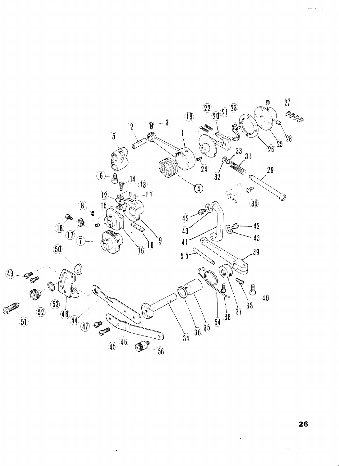

26

 $\cdot$ 

 $\overline{\phantom{a}}$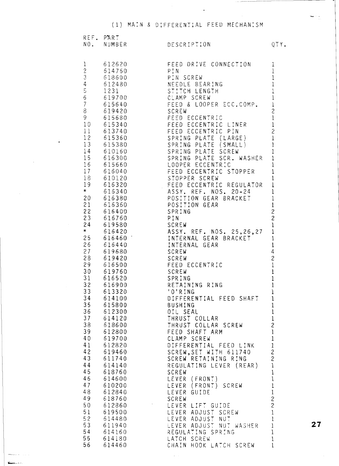$\sim$ 

 $\mathcal{L}^{\prime}$ 

|                                                                                | REF. PART<br>NO. NUMBER                                                                                              | DESCRIPTION                                                                                                                                                                                                | QTY.                                                                                                                              |
|--------------------------------------------------------------------------------|----------------------------------------------------------------------------------------------------------------------|------------------------------------------------------------------------------------------------------------------------------------------------------------------------------------------------------------|-----------------------------------------------------------------------------------------------------------------------------------|
| 1                                                                              | 612620                                                                                                               | FEED DRIVE CONNECTION                                                                                                                                                                                      | $\overline{\phantom{0}}$                                                                                                          |
| $\overline{c}$                                                                 | 614760                                                                                                               | PIN                                                                                                                                                                                                        | $\,1$                                                                                                                             |
| 3                                                                              | 618600                                                                                                               | PIN SCREW                                                                                                                                                                                                  | $\mathbf 1$                                                                                                                       |
| 4                                                                              | 612480                                                                                                               | NEEDLE BEARING                                                                                                                                                                                             | $\mathbf 1$                                                                                                                       |
| 5                                                                              | 1231                                                                                                                 | STITCH LENGTH                                                                                                                                                                                              | $\mathbf 1$                                                                                                                       |
| 6                                                                              | 619700                                                                                                               | CLAMP SCREW                                                                                                                                                                                                | $\,1$                                                                                                                             |
| $\overline{7}$                                                                 | 615640                                                                                                               | FEED & LOOPER ECC.COMP.                                                                                                                                                                                    | $\rm \hat{1}$                                                                                                                     |
| 8                                                                              | 619420                                                                                                               | SCREW                                                                                                                                                                                                      | $\overline{c}$                                                                                                                    |
| 9                                                                              | 615680                                                                                                               | FEED ECCENTRIC                                                                                                                                                                                             | $\,1\,$                                                                                                                           |
| 10                                                                             | 615340                                                                                                               | FEED ECCENTRIC LINER                                                                                                                                                                                       | $\,1$                                                                                                                             |
| 11                                                                             | 613740                                                                                                               | FEED ECCENTRIC PIN                                                                                                                                                                                         | $\overline{c}$                                                                                                                    |
| 12                                                                             | 615360                                                                                                               | SPRING PLATE (LARGE)                                                                                                                                                                                       | $\!1$                                                                                                                             |
| 13                                                                             | 615380                                                                                                               | SPRING PLATE (SMALL)                                                                                                                                                                                       | $\mathbf 1$                                                                                                                       |
| 14                                                                             | 610160                                                                                                               | SPRING PLATE SCREW                                                                                                                                                                                         | $\,1$                                                                                                                             |
| 15                                                                             | 616300                                                                                                               | SPRING PLATE SCR. WASHER                                                                                                                                                                                   | $\,1$                                                                                                                             |
| 16                                                                             | 615660                                                                                                               | LOOPER ECCENTRIC                                                                                                                                                                                           | $\bf{l}$                                                                                                                          |
| 17                                                                             | 616040                                                                                                               | FEED ECCENTRIC STOPPER                                                                                                                                                                                     | $\mathbf{l}$                                                                                                                      |
| 18                                                                             | 610120                                                                                                               | STOPPER SCREW                                                                                                                                                                                              | $\mathbf 1$                                                                                                                       |
| 19                                                                             | 616320                                                                                                               | FEED ECCENTRIC REGULATOR                                                                                                                                                                                   | $\mathbf 1$                                                                                                                       |
| $\star$<br>20<br>21<br>22<br>23<br>24<br>$\star$<br>25<br>26<br>27<br>28<br>29 | 616340<br>616380<br>616360<br>616400<br>616760<br>619580<br>616420<br>616460<br>616440<br>619680<br>619420<br>616500 | ASSY. REF. NOS. 20-24<br>POSITION GEAR BRACKET<br>POSITION GEAR<br>SPRING<br>PIN<br>SCREW<br>ASSY. REF. NOS. 25,26,27<br>INTERNAL GEAR BRACKET<br>INTERNAL GEAR<br><b>SCREW</b><br>SCREW<br>FEED ECCENTRIC | 1<br>$\mathbf{1}$<br>$\mathbf{1}$<br>$\frac{2}{2}$<br>$\mathbf{1}$<br>$\mathbf{1}$<br>$\mathbf{1}$<br>$\,1$<br>4<br>$\frac{2}{1}$ |
| 30                                                                             | 619760                                                                                                               | SCREW                                                                                                                                                                                                      | $\mathbf 1$                                                                                                                       |
| 31                                                                             | 616520                                                                                                               | SPRING                                                                                                                                                                                                     | $\mathbf{1}$                                                                                                                      |
| 32                                                                             | 616900                                                                                                               | RETAINING RING                                                                                                                                                                                             | $\bf{l}$                                                                                                                          |
| 33                                                                             | 613320                                                                                                               | 'O'RING                                                                                                                                                                                                    | 1                                                                                                                                 |
| 34                                                                             | 614100                                                                                                               | DIFFERENTIAL FEED SHAFT                                                                                                                                                                                    | $\mathbf{1}$                                                                                                                      |
| 35                                                                             | 615800                                                                                                               | BUSHING                                                                                                                                                                                                    | 1                                                                                                                                 |
| 36                                                                             | 612300                                                                                                               | OIL SEAL                                                                                                                                                                                                   | 1                                                                                                                                 |
| 37                                                                             | 614120                                                                                                               | THRUST COLLAR                                                                                                                                                                                              | $\,1$                                                                                                                             |
| 38                                                                             | 618600                                                                                                               | THRUST COLLAR SCREW                                                                                                                                                                                        | $\overline{c}$                                                                                                                    |
| 39                                                                             | 612800                                                                                                               | FEED SHAFT ARM                                                                                                                                                                                             | $\mathbf 1$                                                                                                                       |
| 40                                                                             | 619700                                                                                                               | CLAMP SCREW                                                                                                                                                                                                | $\,1$                                                                                                                             |
| 41                                                                             | 612820                                                                                                               | DIFFERENTIAL FEED LINK                                                                                                                                                                                     | $\mathbf 1$                                                                                                                       |
| 42                                                                             | 619460                                                                                                               | SCREW, SET WITH 611740                                                                                                                                                                                     | $\overline{c}$                                                                                                                    |
| 43                                                                             | 611740                                                                                                               | SCREW RETAINING RING                                                                                                                                                                                       | $\overline{c}$                                                                                                                    |
| 44                                                                             | 614140                                                                                                               | REGULATING LEVER (REAR)                                                                                                                                                                                    | $\mathbf 1$                                                                                                                       |
| 45                                                                             | 618760                                                                                                               | <b>SCREW</b>                                                                                                                                                                                               | 1                                                                                                                                 |
| 46                                                                             | 614600                                                                                                               | LEVER (FRONT)                                                                                                                                                                                              | 1                                                                                                                                 |
| 47                                                                             | 610200                                                                                                               | LEVER (FRONT) SCREW                                                                                                                                                                                        | $\mathbf 1$                                                                                                                       |
| 48                                                                             | 612840                                                                                                               | LEVER                                                                                                                                                                                                      | $\mathbf 1$                                                                                                                       |
| 49                                                                             | 618760                                                                                                               | GUIDE                                                                                                                                                                                                      | $\overline{c}$                                                                                                                    |
| 50                                                                             | 612860                                                                                                               | <b>SCREW</b>                                                                                                                                                                                               | $\overline{c}$                                                                                                                    |
| 51<br>52<br>53<br>54<br>55<br>56                                               | 619500<br>614480<br>611940<br>614160<br>614180<br>614460                                                             | LEVER LIFT GUIDE<br>LEVER ADJUST SCREW<br>LEVER ADJUST NUT<br>LEVER ADJUST NUT WASHER<br>REGULATING SPRING<br>LATCH SCREW<br>CHAIN HOOK LATCH SCREW                                                        | $\,1$<br>$\mathbf 1$<br>$\mathbf{1}$<br>$\mathbf 1$<br>$\mathbf 1$<br>l                                                           |

 $\mathcal{L}$ 

 $\mathcal{A}^{\mathcal{A}}$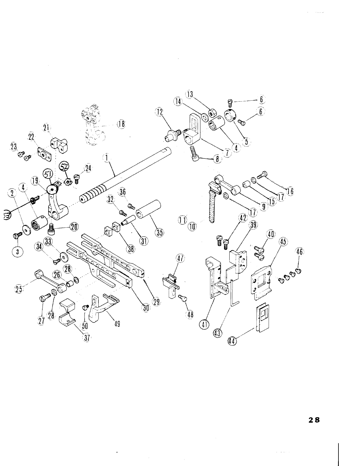

 $\ddot{\phantom{a}}$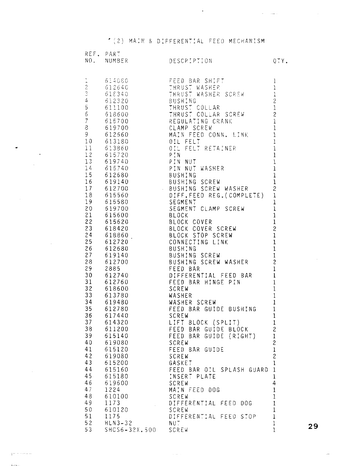" (2) MAIN & DIFFERENTIAL FEED MECHANISM

 $\hat{\mathcal{A}}$ 

|                                                                                                                                                    | REF. PART<br>NO. NUMBER                                                                                                                                                          | DESCRIPTION                                                                                                                                                                                                                                                                                                                      | QTY.                                                                                                                                                                                                                                                   |
|----------------------------------------------------------------------------------------------------------------------------------------------------|----------------------------------------------------------------------------------------------------------------------------------------------------------------------------------|----------------------------------------------------------------------------------------------------------------------------------------------------------------------------------------------------------------------------------------------------------------------------------------------------------------------------------|--------------------------------------------------------------------------------------------------------------------------------------------------------------------------------------------------------------------------------------------------------|
| $\frac{1}{2}$ $\frac{2}{3}$ $\frac{3}{4}$ $\frac{5}{5}$ $\frac{6}{7}$<br>8 <sup>1</sup><br>9<br>10<br>11<br>12<br>13<br>14<br>15<br>16<br>17<br>18 | 614080<br>612640<br>618340<br>612320<br>611100<br>618600<br>615700<br>619700<br>612560<br>613180<br>613860<br>615720<br>619740<br>615740<br>612680<br>619140<br>612700<br>615560 | FEED BAR SHIFT<br>THRUST WASHER<br>THRUST WASHER SCREW<br>BUSHING<br>THRUST COLLAR<br>THRUST COLLAR SCREW<br>REGULATING CRANK<br>CLAMP SCREW<br>MAIN FEED CONN. LINK<br>OIL FELT<br>OIL FELT RETAINER<br>PIN<br>PIN NUT<br>PIN NUT WASHER<br><b>BUSHING</b><br>BUSHING SCREW<br>BUSHING SCREW WASHER<br>DIFF.FEED REG.(COMPLETE) | 1<br>$\mathfrak 1$<br>$\begin{array}{c}\n1 \\ 2 \\ 1\n\end{array}$<br>$\mathbf 1$<br>$\mathbf{1}$<br>$\mathbf 1$<br>$\mathbf{1}$<br>$\,1$<br>$\,1$<br>$\,1$<br>$\mathbf 1$<br>$\mathbf 1$<br>$\mathbf 1$<br>$\overline{c}$<br>$\,1$                    |
| 19<br>20<br>21<br>22<br>23<br>24<br>25<br>26<br>27<br>28<br>29<br>30<br>31<br>32<br>$33 -$                                                         | 615580<br>619700<br>615600<br>615620<br>618420<br>618860<br>612720<br>612680<br>619140<br>612700<br>2885<br>612740<br>612760<br>618600<br>613780                                 | SEGMENT<br>SEGMENT CLAMP SCREW<br><b>BLOCK</b><br>BLOCK COVER<br>BLOCK COVER SCREW<br>BLOCK STOP SCREW<br>CONNECTING LINK<br><b>BUSHING</b><br>BUSHING SCREW<br>BUSHING SCREW WASHER<br>FEED BAR<br>DIFFERENTIAL FEED BAR<br>FEED BAR HINGE PIN<br><b>SCREW</b><br>WASHER                                                        | $\mathbf 1$<br>$\mathfrak l$<br>$\mathbf 1$<br>$\mathbf 1$<br>$\overline{\mathbf{c}}$<br>$\mathbf{1}$<br>$\mathbf 1$<br>$\boldsymbol{1}$<br>$\mathbf 1$<br>$\overline{c}$<br>$\mathbf{1}$<br>$\mathbf{1}$<br>$\mathbf 1$<br>$\mathbf 1$<br>$\mathbf 1$ |
| 34<br>35<br>36<br>37<br>38<br>39<br>40<br>41<br>42<br>43                                                                                           | 619480<br>612780<br>617440<br>614320<br>611200<br>615140<br>619080<br>615120<br>619080<br>615200                                                                                 | WASHER SCREW<br>FEED BAR GUIDE BUSHING<br><b>SCREW</b><br>LIFT BLOCK (SPLIT)<br>FEED BAR GUIDE BLOCK<br>FEED BAR GUIDE (RIGHT)<br><b>SCREW</b><br>FEED BAR GUIDE<br><b>SCREW</b><br>GASKET                                                                                                                                       | 1<br>$\mathbf 1$<br>$\mathbf{1}$<br>$\begin{array}{c}\n1 \\ 2 \\ 1\n\end{array}$<br>$\frac{1}{2}$<br>$\mathbf{1}$                                                                                                                                      |
| 44<br>45<br>46<br>47<br>48<br>49<br>50<br>51<br>52<br>53                                                                                           | 615160<br>615180<br>619600<br>1224<br>610100<br>1173<br>610120<br>1175<br>$HLN3-32$<br>SHCS6-32X.500 SCREW                                                                       | FEED BAR OIL SPLASH GUARD<br>INSERT PLATE<br><b>SCREW</b><br>MAIN FEED DOG<br><b>SCREW</b><br>DIFFERENTIAL FEED DOG<br><b>SCREW</b><br>DIFFERENTIAL FEED STOP<br>NUT.                                                                                                                                                            | $\mathbf 1$<br>$\mathbf 1$<br>4<br>$\mathbf 1$<br>$\mathbf 1$<br>$\mathbf{1}$<br>$\mathbf 1$<br>$\mathbf 1$<br>$\mathbf{1}$<br>$\mathbf{1}$                                                                                                            |

 $\ddot{\phantom{1}}$ 

e a como d

 $\sim 10^{-1}$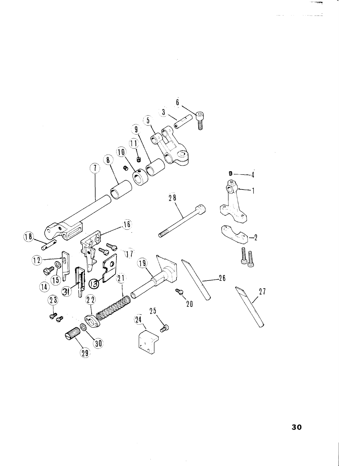

 $\frac{1}{2}$ 

 $\frac{1}{2}$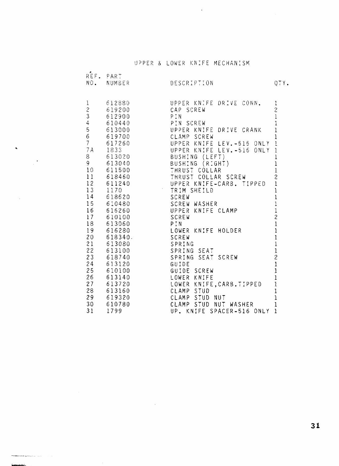U?PER & LOWER KNIFE MECHANlSM

 $\mathcal{L}^{\text{max}}_{\text{max}}$  and  $\mathcal{L}^{\text{max}}_{\text{max}}$ 

|                                                        | REF. PART<br>NO. NUMBER DESCRIPTION |                                                                                             | QTY.                                            |
|--------------------------------------------------------|-------------------------------------|---------------------------------------------------------------------------------------------|-------------------------------------------------|
| $\mathbf{I}$                                           | 612880                              | UPPER KNIFE DRIVE CONN.                                                                     | $\mathbf 1$                                     |
| $\begin{array}{c}\n2 \\ 3 \\ 4 \\ 5 \\ 6\n\end{array}$ | 619200<br>612900                    | CAP SCREW<br>PIN                                                                            | $\overline{c}$                                  |
|                                                        | 610440                              | PIN SCREW                                                                                   |                                                 |
|                                                        | 613000                              | UPPER KNIFE DRIVE CRANK                                                                     |                                                 |
|                                                        | 619700                              |                                                                                             |                                                 |
| 7 <sup>7</sup>                                         | 617260                              | CLAMP SCREW<br>UPPER KNIFE<br>UPPER KNIFE LEV.-515 ONLY                                     | $\frac{1}{1}$<br>$\frac{1}{1}$<br>$\frac{1}{1}$ |
| 7A                                                     | 1833                                | UPPER KNIFE LEV. - 516 ONLY                                                                 |                                                 |
| 8                                                      | 613020                              | BUSHING (LEFT)                                                                              |                                                 |
| 9                                                      | 613040                              | BUSHING (RIGHT)                                                                             |                                                 |
| 10                                                     | 611500                              | THRUST COLLAR                                                                               | $1112$<br>$211$                                 |
| 11<br>12                                               |                                     |                                                                                             |                                                 |
| 13                                                     |                                     | 618460<br>618460 THRUST COLLAR SCREW<br>611240 UPPER KNIFE-CARB. TIPPED<br>1170 TRIM SHEILD |                                                 |
| 14                                                     | 618620                              | SCREW                                                                                       |                                                 |
| 15                                                     | 610480                              | SCREW WASHER                                                                                |                                                 |
| 16                                                     | 616260                              | UPPER KNIFE CLAMP                                                                           |                                                 |
| 17                                                     | 610100                              | <b>SCREW</b>                                                                                |                                                 |
| 18                                                     | 613060                              | PIN                                                                                         |                                                 |
| 19                                                     | 616280                              | LOWER KNIFE HOLDER                                                                          |                                                 |
| 20                                                     | 618340.                             | SCREW                                                                                       |                                                 |
| 21                                                     | 613080                              | SPRING                                                                                      |                                                 |
| 22                                                     | 613100                              | SPRING SEAT                                                                                 |                                                 |
| 23<br>24                                               | 618740<br>613120                    | SPRING SEAT SCREW<br>GUIDE                                                                  |                                                 |
| 25                                                     | 610100                              | GUIDE SCREW                                                                                 |                                                 |
| 26                                                     | 613140                              | LOWER KNIFE                                                                                 |                                                 |
| 27                                                     | 613720                              | LOWER KNIFE, CARB. TIPPED                                                                   |                                                 |
| 28                                                     | 613160                              | CLAMP STUD                                                                                  |                                                 |
| 29                                                     | 619320                              | CLAMP STUD NUT                                                                              | $\mathbf 1$                                     |
| 30                                                     | 610780                              | CLAMP STUD NUT WASHER                                                                       | $\mathbf{1}$                                    |
| 31                                                     | 1799                                | UP. KNIFE SPACER-516 ONLY                                                                   | $\mathbf{1}$                                    |

 $\mathcal{L}^{\text{max}}_{\text{max}}$  and  $\mathcal{L}^{\text{max}}_{\text{max}}$ 

 $\mathbf{S}^{(n)}$  and  $\mathbf{S}^{(n)}$ 

 $\mathcal{L}_{\text{max}}$  .

 $\label{eq:2} \frac{1}{2} \sum_{i=1}^n \frac{1}{2} \sum_{j=1}^n \frac{1}{2} \sum_{j=1}^n \frac{1}{2} \sum_{j=1}^n \frac{1}{2} \sum_{j=1}^n \frac{1}{2} \sum_{j=1}^n \frac{1}{2} \sum_{j=1}^n \frac{1}{2} \sum_{j=1}^n \frac{1}{2} \sum_{j=1}^n \frac{1}{2} \sum_{j=1}^n \frac{1}{2} \sum_{j=1}^n \frac{1}{2} \sum_{j=1}^n \frac{1}{2} \sum_{j=1}^n \frac{1}{$ 

 $\label{eq:1} \frac{\partial \mathcal{L}_{\mathcal{A}}}{\partial \mathcal{L}_{\mathcal{A}}}\frac{\partial \mathcal{L}_{\mathcal{A}}}{\partial \mathcal{L}_{\mathcal{A}}}\frac{\partial \mathcal{L}_{\mathcal{A}}}{\partial \mathcal{L}_{\mathcal{A}}}\frac{\partial \mathcal{L}_{\mathcal{A}}}{\partial \mathcal{L}_{\mathcal{A}}}\frac{\partial \mathcal{L}_{\mathcal{A}}}{\partial \mathcal{L}_{\mathcal{A}}}\frac{\partial \mathcal{L}_{\mathcal{A}}}{\partial \mathcal{L}_{\mathcal{A}}}\frac{\partial \mathcal{L}_{\mathcal{A}}}{\partial \mathcal{L}_{\math$ 

والمنقب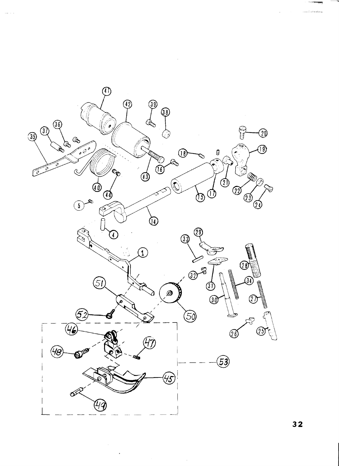

 $\hat{\boldsymbol{\beta}}$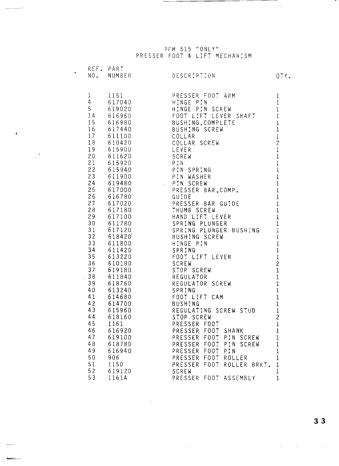#### PFM 515 "ONLY" PRESSER FOOT & LIFT MECHANISM

 $\mu_{\rm{max}}$  are masses as a section of

 $\mathbf{z}$ 

 $\frac{1}{\sqrt{2}}\sum_{i=1}^{n} \frac{1}{\sqrt{2}}\sum_{i=1}^{n} \frac{1}{\sqrt{2}}\sum_{i=1}^{n} \frac{1}{\sqrt{2}}\sum_{i=1}^{n} \frac{1}{\sqrt{2}}\sum_{i=1}^{n} \frac{1}{\sqrt{2}}\sum_{i=1}^{n} \frac{1}{\sqrt{2}}\sum_{i=1}^{n} \frac{1}{\sqrt{2}}\sum_{i=1}^{n} \frac{1}{\sqrt{2}}\sum_{i=1}^{n} \frac{1}{\sqrt{2}}\sum_{i=1}^{n} \frac{1}{\sqrt{2}}\sum_{i=1}^{n}$ 

**ستعص**د ب

 $\frac{1}{\sqrt{2}}$  .

|                                                                                   | REF. PART<br>NO. NUMBER DESCRIPTION                                                            |                                                                                                                                                             | QTY.                                                                                                                  |
|-----------------------------------------------------------------------------------|------------------------------------------------------------------------------------------------|-------------------------------------------------------------------------------------------------------------------------------------------------------------|-----------------------------------------------------------------------------------------------------------------------|
| $\mathbf{1}$<br>$4 -$<br>5 <sup>1</sup><br>14<br>15<br>16<br>17<br>18<br>19<br>20 | 1151<br>617040<br>619020<br>616960<br>616980<br>617440<br>611100<br>610420<br>615900<br>611620 | PRESSER FOOT ARM<br>HINGE PIN<br>HINGE PIN SCREW<br>FOOT LIFT LEVER SHAFT<br>BUSHING, COMPLETE<br>BUSHING SCREW<br>COLLAR<br>COLLAR SCREW<br>LEVER<br>SCREW | $\mathbf{1}$<br>$\mathbf 1$<br>$\,1$<br>$\,1\,$<br>$\,1$<br>$\begin{array}{c} 1 \\ 2 \\ 1 \end{array}$<br>$\mathbf 1$ |
| 21<br>22<br>23<br>24                                                              | 615920<br>615940<br>611900<br>619480                                                           | PIN<br>PIN SPRING<br>PIN WASHER<br>. PIN SCREW                                                                                                              | $\mathbf 1$<br>$\bf{l}$<br>$\,1$<br>$\mathbf 1$                                                                       |
| 25<br>26<br>27<br>28                                                              | 617000<br>616780<br>617020<br>617180                                                           | PRESSER BAR, COMP.<br>GUIDE<br>PRESSER BAR GUIDE<br>THUMB SCREW                                                                                             | $\mathbf 1$<br>$\mathbf 1$<br>$\,1\,$<br>$\bf{1}$                                                                     |
| 29<br>30<br>31<br>32                                                              | 617100<br>611780<br>617120<br>618420                                                           | HAND LIFT LEVER<br>SPRING PLUNGER<br>SPRING PLUNGER BUSHING<br>BUSHING SCREW                                                                                | $\mathbf 1$<br>$\boldsymbol{1}$<br>$\mathbf 1$<br>$\mathbf 1$                                                         |
| 33<br>34<br>35<br>36                                                              | 611800<br>611420<br>613220<br>610180                                                           | HINGE PIN<br>SPRING<br>FOOT LIFT LEVER<br>SCREW                                                                                                             | $\,1\,$<br>$\mathbf{1}$<br>$\,1$<br>$\overline{c}$                                                                    |
| 37<br>$-38$<br>39                                                                 | 619180<br>611840<br>618760                                                                     | STOP SCREW<br>REGULATOR<br>REGULATOR SCREW                                                                                                                  | $\,1$<br>$\boldsymbol{1}$<br>$\mathbf 1$                                                                              |
| 40<br>41<br>42<br>43                                                              | 613240<br>614680<br>614700<br>615960                                                           | SPRING<br>FOOT LIFT CAM<br>BUSHING<br>REGULATING SCREW STUD                                                                                                 | $\mathbf 1$<br>$\mathbf 1$<br>$\mathbf 1$<br>$\mathbf{1}$                                                             |
| 44<br>45<br>46<br>47                                                              | 618160<br>1161<br>616920<br>619100                                                             | STOP SCREW<br>PRESSER<br>FOOT<br>PRESSER<br>F00T<br><b>SHANK</b><br>PRESSER<br>F00T<br>PIN SCREW                                                            | $\overline{\mathcal{L}}$<br>$\mathbf{l}$<br>$\mathbf 1$<br>$\mathbf 1$                                                |
| 48<br>49<br>50<br>51                                                              | 618780<br>616940<br>906<br>1150                                                                | PRESSER<br>F00T<br>PIN<br><b>SCREW</b><br>PRESSER<br>F00T<br>PIN<br>PRESSER<br>F00T<br>ROLLER<br>PRESSER<br>F00T                                            | 1<br>1<br>1                                                                                                           |
| 52<br>53                                                                          | 619120<br>1161A                                                                                | ROLLER<br>BRKT.<br><b>SCREW</b><br>PRESSER FOOT<br>ASSEMBLY                                                                                                 | 1<br>1<br>1                                                                                                           |

 $\mathcal{L}(\mathcal{L}^{\text{max}}_{\mathcal{L}}(\mathcal{L}^{\text{max}}_{\mathcal{L}}))$  and

 $\label{eq:3.1} \mathcal{L}(\mathbf{a},\mathbf{b}) = \mathcal{L}(\mathbf{a},\mathbf{b}) = \mathcal{L}(\mathbf{a},\mathbf{b})$ 

 $33$ 

 $\sim$   $\sim$ 

 $\sim 100$ 

 $\sim 10^{-10}$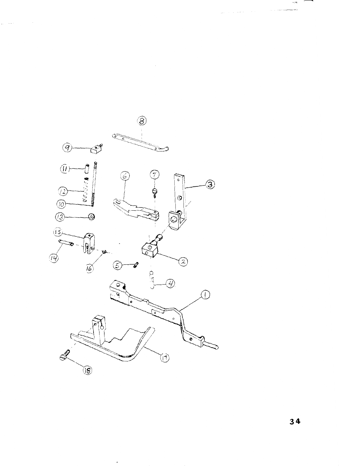

 $\ddot{\phantom{0}}$ 

 $\sim$   $\sim$  $\bar{\mathcal{L}}$ 

 $34$ 

 $\sim$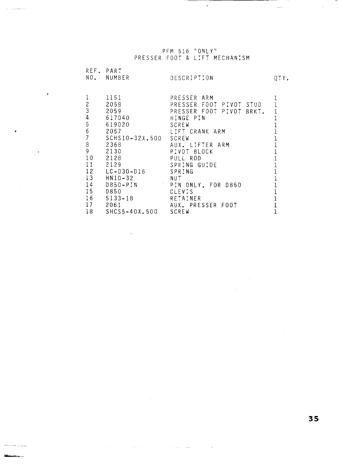### PFM 516 "ONLY" PRESSER FOOT & LIFT MECHANISM

ر<br>۱۳۶<del>۰ - محمد عمر</del>ی

 $\mathbf{r}$ 

 $\mathcal{L}$ 

 $\epsilon$ 

 $\mathcal{L}^{\text{max}}_{\text{max}}$  and  $\mathcal{L}^{\text{max}}_{\text{max}}$ 

 $\ddot{\phantom{a}}$ 

| NO. NUMBER<br>DESCRIPTION                                                                                                                                                                                                                                                                                                                                                                                                                   | QTY. |
|---------------------------------------------------------------------------------------------------------------------------------------------------------------------------------------------------------------------------------------------------------------------------------------------------------------------------------------------------------------------------------------------------------------------------------------------|------|
| 1151<br>PRESSER ARM<br>$\frac{2}{3}$<br>2058<br>PRESSER FOOT PIVOT STUD<br>2059<br>PRESSER FOOT PIVOT BRKT.<br>$\frac{4}{5}$<br>617040<br>HINGE PIN<br>619020<br><b>SCREW</b><br>$\begin{array}{c} 6 \\ 7 \end{array}$<br>2057<br>LIFT CRANK ARM<br>SCHS10-32X.500 SCREW<br>8<br>2368<br>AUX. LIFTER ARM<br>9<br>2130<br>PIVOT BLOCK<br>10 2128<br>PULL ROD<br>11 2129<br>SPRING GUIDE<br>12 LC-030-D16<br>SPRING<br>13<br>$HN10-32$<br>NUT |      |
| 14<br>PIN ONLY, FOR D850<br>D850-PIN                                                                                                                                                                                                                                                                                                                                                                                                        |      |
| 15<br>D850<br>CLEVIS<br>16 5133-18<br>RETAINER                                                                                                                                                                                                                                                                                                                                                                                              |      |
| 17<br>2061<br>AUX. PRESSER FOOT<br>18<br>SHCS5-40X.500<br><b>SCREW</b>                                                                                                                                                                                                                                                                                                                                                                      |      |

 $\sim$ 

 $\mathcal{L}_{\text{max}}$  and  $\mathcal{L}_{\text{max}}$ 

, which is a second constraint of the second constraint  $\mathcal{L}_{\mathcal{A}}$  , where  $\mathcal{L}_{\mathcal{A}}$ 

 $35$ 

 $\sim 10^{-1}$ 

 $\sim 10$ 

 $\sim 10^{11}$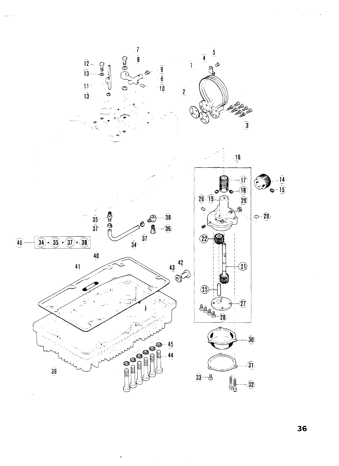

 $\ddot{\phantom{a}}$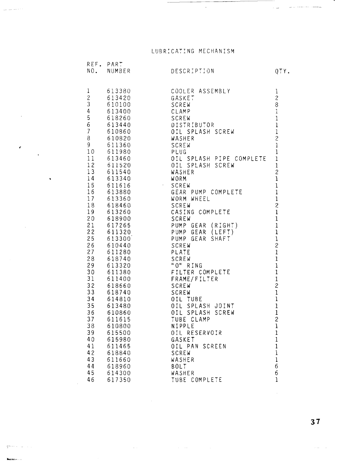## LUBRICATING MECHANISM

وأوجدتم المواجهة

 $\mathcal{L}^{\mathcal{L}}$ 

 $\hat{r}$ 

 $\hat{L}$ 

 $\frac{1}{2}$  . The set of  $\mathcal{L}_{\mathcal{A}}$  and  $\mathcal{L}_{\mathcal{A}}$  and  $\mathcal{L}_{\mathcal{A}}$ 

 $\label{eq:reduced} \frac{\sum_{i=1}^{n} \sum_{i=1}^{n} \sum_{j=1}^{n} \sum_{j=1}^{n} \sum_{j=1}^{n} \sum_{j=1}^{n} \sum_{j=1}^{n} \sum_{j=1}^{n} \sum_{j=1}^{n} \sum_{j=1}^{n} \sum_{j=1}^{n} \sum_{j=1}^{n} \sum_{j=1}^{n} \sum_{j=1}^{n} \sum_{j=1}^{n} \sum_{j=1}^{n} \sum_{j=1}^{n} \sum_{j=1}^{n} \sum_{j=1}^{n} \sum_{j=1}^{n} \sum_{j=1}^{n}$ 

 $\sim$   $\sim$ 

| REF. PART<br>NO. NUMBER                                                     |                                                          | DESCRIPTION                                                              | QTY.                                                                     |
|-----------------------------------------------------------------------------|----------------------------------------------------------|--------------------------------------------------------------------------|--------------------------------------------------------------------------|
| $\mathbf{1}$<br>$\frac{2}{3}$<br>$\begin{array}{c} 4 \\ 5 \\ 6 \end{array}$ | 613380<br>613420<br>610100<br>613400<br>618260<br>613440 | COOLER ASSEMBLY<br>GASKET<br>SCREW<br>CLAMP<br>SCREW<br>DISTRIBUTOR      | $\mathbf 1$<br>$\overline{c}$<br>$8111121$                               |
| $\overline{7}$<br>8<br>$\overline{9}$<br>10 <sub>o</sub>                    | 610860<br>610820<br>611360<br>611980                     | OIL SPLASH SCREW<br>WASHER<br>SCREW<br>PLUG                              |                                                                          |
| 11<br>12<br>13<br>14<br>15                                                  | 613460<br>611520<br>611540<br>613340<br>611616           | OIL SPLASH PIPE COMPLETE<br>OIL SPLASH SCREW<br>WASHER<br>WORM<br>SCREW  | $\mathbf 1$<br>$\begin{array}{c} 1 \\ 2 \\ 1 \end{array}$<br>$\,1$       |
| 16<br>17<br>18<br>19                                                        | 613880<br>613360<br>618460<br>613260                     | GEAR PUMP COMPLETE<br>WORM WHEEL<br>SCREW<br>CASING COMPLETE             | $\mathbf 1$<br>$\mathbf{1}$<br>$\overline{\mathbf{c}}$<br>$\mathbf{1}$   |
| 20<br>21<br>22<br>25                                                        | 618900<br>617265<br>611320<br>613300                     | SCREW<br>PUMP GEAR (RIGHT)<br>PUMP GEAR (LEFT)<br>PUMP GEAR SHAFT        | $\mathbf 1$<br>$\mathbf{1}$<br>$\mathbf{1}$                              |
| 26<br>27<br>28<br>29                                                        | 610440<br>611280<br>618740<br>613320                     | SCREW<br>PLATE<br>SCREW<br>$\overline{N}$ 0" RING                        | $\begin{array}{c} 1 \\ 2 \\ 1 \end{array}$<br>$\mathbf 1$<br>$\mathbf 1$ |
| 30<br>31<br>32<br>33                                                        | 611380<br>611400<br>618660<br>618740                     | FILTER COMPLETE<br>FRAME/FILTER<br><b>SCREW</b><br>SCREW                 | $\mathbf{1}$<br>$\mathbf 1$<br>$\overline{c}$<br>$\mathbf{1}$            |
| 34<br>35<br>36<br>37<br>38                                                  | 614810<br>613480<br>610860<br>611615<br>610800           | OIL TUBE<br>OIL SPLASH JOINT<br>OIL SPLASH SCREW<br>TUBE CLAMP<br>NIPPLE | $\mathbf{1}$<br>$\mathbf{1}$<br>$\mathbf 1$<br>$\frac{2}{1}$             |
| 39<br>40<br>41<br>42                                                        | 615500<br>615980<br>611465<br>618840                     | OIL RESERVOIR<br>GASKET<br>OIL PAN<br><b>SCREEN</b><br><b>SCREW</b>      | $\mathbf 1$<br>$\mathbf 1$<br>$\mathbf{1}$<br>$\mathbf 1$                |
| 43<br>44<br>45<br>46                                                        | 611660<br>618960<br>614300<br>617350                     | WASHER<br><b>BOLT</b><br>WASHER<br>TUBE COMPLETE                         | $\mathbf 1$<br>6<br>6<br>$\mathbf{1}$                                    |

 $\sim 10^6$ 

 $\mathcal{L}(\mathbf{z},\mathbf{z})$  and  $\mathcal{L}(\mathbf{z},\mathbf{z})$  are the set of the set of  $\mathcal{L}(\mathbf{z},\mathbf{z})$ 

 $37$ 

 $\mathcal{L}^{\text{max}}_{\text{max}}$ 

 $\label{eq:1} \omega_{\rm{max}}(\omega_{\rm{max}}) = \omega_{\rm{max}}(\omega_{\rm{max}})$ 

 $\bar{\psi}$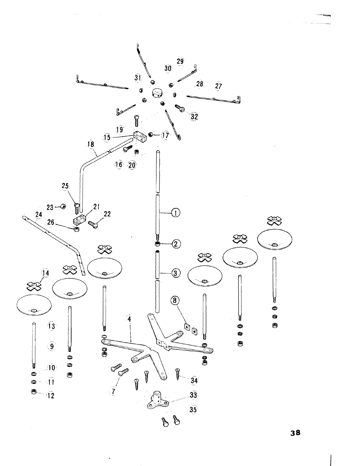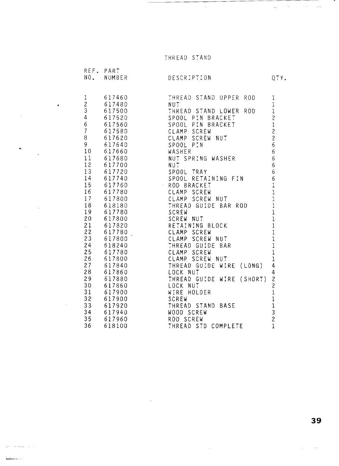THREAD STAND

 $\epsilon$ 

 $\ddot{\phantom{1}}$ 

 $\bar{a}$ 

 $\hat{\mathcal{A}}$ 

 $\mathbf{r}$ 

 $\mathcal{L}$ 

| REF. PART<br>NO <sub>z</sub> | NUMBER DESCRIPTION                                         |                                                                                                     | QTY.                                                             |
|------------------------------|------------------------------------------------------------|-----------------------------------------------------------------------------------------------------|------------------------------------------------------------------|
| $\mathbf{1}$                 | 617460                                                     | THREAD STAND UPPER ROD<br>NUT                                                                       | $\mathbf{1}$                                                     |
| $\frac{2}{3}$                | 617480                                                     | NUT                                                                                                 | $\,1$                                                            |
|                              | 617500                                                     | THREAD STAND LOWER ROD                                                                              |                                                                  |
| 4                            | 617520                                                     | SPOOL PIN BRACKET                                                                                   |                                                                  |
| $\sqrt{6}$                   | 617560                                                     | SPOOL PIN BRACKET                                                                                   | $\frac{1}{2}$<br>$\frac{2}{2}$<br>$\frac{2}{6}$<br>$\frac{6}{6}$ |
| $\overline{7}$               | 617580                                                     | CLAMP SCREW                                                                                         |                                                                  |
| 8                            | 617620                                                     | CLAMP SCREW NUT                                                                                     |                                                                  |
| 9                            | 617640                                                     | SPOOL PIN                                                                                           |                                                                  |
| $1\,0$                       | 617660                                                     | WASHER                                                                                              |                                                                  |
| $1\,1$                       | 617680                                                     |                                                                                                     | $6\overline{6}$                                                  |
| 12                           | 617700                                                     |                                                                                                     | $6\,$                                                            |
|                              |                                                            |                                                                                                     | $\overline{6}$                                                   |
|                              | $\begin{array}{cc} 13 & 617720 \\ 14 & 617740 \end{array}$ | NUT SPRING WASHER<br>NUT<br>SPOOL TRAY<br>SPOOL RETAINING FIN<br>ROD BRACKET<br>SPOOL RETAINING FIN | $\overline{6}$                                                   |
|                              | $\frac{1}{15}$ 617760                                      |                                                                                                     | $\,1$                                                            |
| 16                           | 617780                                                     | CLAMP SCREW                                                                                         | $\mathbf 1$                                                      |
|                              | 17 617800                                                  | CLAMP SCREW NUT                                                                                     | $\begin{array}{c} 1 \\ 1 \\ 1 \end{array}$                       |
| 18                           | 618180                                                     | THREAD GUIDE BAR ROD                                                                                |                                                                  |
|                              | 19 617780                                                  | <b>SCREW</b>                                                                                        |                                                                  |
| 20                           | 617800                                                     | SCREW NUT                                                                                           | $\frac{1}{1}$                                                    |
| 21                           | 617820                                                     | RETAINING BLOCK                                                                                     |                                                                  |
| 22                           | 617780                                                     | CLAMP SCREW<br>CLAMP SCREW NUT<br>THREAD GUIDE BAR                                                  | $\mathbf 1$                                                      |
| 23                           | 617800                                                     |                                                                                                     |                                                                  |
| 24                           | 618240                                                     |                                                                                                     | $\begin{array}{c} 1 \\ 1 \\ 1 \end{array}$                       |
| 25                           | 617780                                                     | CLAMP SCREW                                                                                         |                                                                  |
| 26                           | 617800                                                     | CLAMP SCREW NUT                                                                                     | $\mathbf 1$                                                      |
| 27                           | 617840                                                     | THREAD GUIDE WIRE (LONG)                                                                            | 4                                                                |
| 28                           | 617860                                                     | LOCK NUT                                                                                            | 4                                                                |
| 29                           | 617880                                                     | THREAD GUIDE WIRE (SHORT)                                                                           | $\overline{c}$                                                   |
| 30                           | 617860                                                     | LOCK NUT                                                                                            | $\overline{c}$                                                   |
| 31                           | 617900                                                     | WIRE HOLDER                                                                                         |                                                                  |
| 32                           | 617900                                                     | THREAD STAND BASE<br>WOOD SCREW<br>ROD SCREW<br>THPEAD SC                                           | $\begin{array}{c} 1 \\ 1 \\ 3 \end{array}$                       |
| 33<br>34                     | 617920                                                     |                                                                                                     |                                                                  |
| 35                           | 617940                                                     |                                                                                                     | $\overline{c}$                                                   |
|                              | 617960                                                     |                                                                                                     |                                                                  |
| 36                           | 618100                                                     | THREAD STD COMPLETE                                                                                 | $\overline{1}$                                                   |

 $\overline{\phantom{a}}$ 

39

المتوازع والمحامل والمتحدث

 $\omega_{\rm{in}}$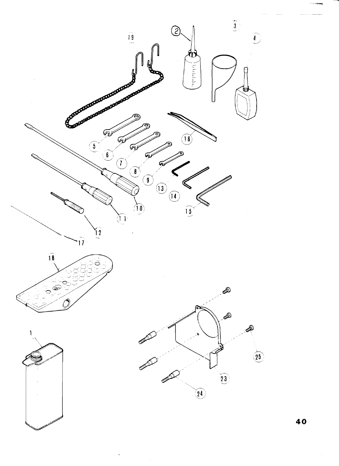

 $\mathcal{L}_{\mathcal{L}}$